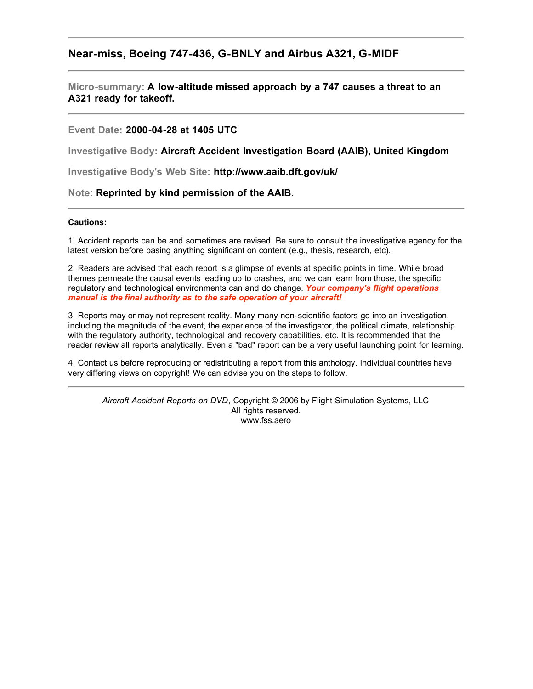## **Near-miss, Boeing 747-436, G-BNLY and Airbus A321, G-MIDF**

#### **Micro-summary: A low-altitude missed approach by a 747 causes a threat to an A321 ready for takeoff.**

#### **Event Date: 2000-04-28 at 1405 UTC**

**Investigative Body: Aircraft Accident Investigation Board (AAIB), United Kingdom**

**Investigative Body's Web Site: http://www.aaib.dft.gov/uk/**

#### **Note: Reprinted by kind permission of the AAIB.**

#### **Cautions:**

1. Accident reports can be and sometimes are revised. Be sure to consult the investigative agency for the latest version before basing anything significant on content (e.g., thesis, research, etc).

2. Readers are advised that each report is a glimpse of events at specific points in time. While broad themes permeate the causal events leading up to crashes, and we can learn from those, the specific regulatory and technological environments can and do change. *Your company's flight operations manual is the final authority as to the safe operation of your aircraft!*

3. Reports may or may not represent reality. Many many non-scientific factors go into an investigation, including the magnitude of the event, the experience of the investigator, the political climate, relationship with the regulatory authority, technological and recovery capabilities, etc. It is recommended that the reader review all reports analytically. Even a "bad" report can be a very useful launching point for learning.

4. Contact us before reproducing or redistributing a report from this anthology. Individual countries have very differing views on copyright! We can advise you on the steps to follow.

*Aircraft Accident Reports on DVD*, Copyright © 2006 by Flight Simulation Systems, LLC All rights reserved. www.fss.aero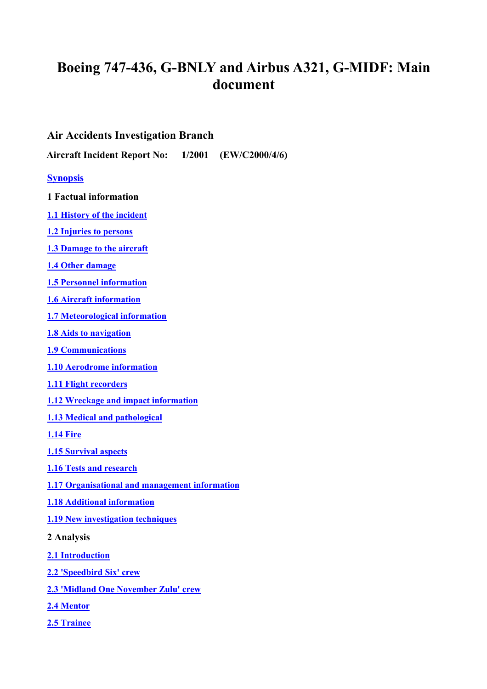# **Boeing 747-436, G-BNLY and Airbus A321, G-MIDF: Main document**

# **Air Accidents Investigation Branch**

**Aircraft Incident Report No: 1/2001 (EW/C2000/4/6)**

## **[Synopsis](#page-2-0)**

- **1 Factual information**
- **[1.1 History of the incident](#page-3-0)**
- **[1.2 Injuries to persons](#page-6-0)**
- **[1.3 Damage to the aircraft](#page-6-0)**
- **[1.4 Other damage](#page-6-0)**
- **[1.5 Personnel information](#page-6-0)**
- **[1.6 Aircraft informatio](#page-7-0)n**
- **[1.7 Meteorological informatio](#page-8-0)n**
- **[1.8 Aids to navigation](#page-8-0)**
- **[1.9 Communications](#page-8-0)**
- **[1.10 Aerodrome informatio](#page-9-0)n**
- **[1.11 Flight recorders](#page-14-0)**
- **[1.12 Wreckage and impact information](#page-15-0)**
- **[1.13 Medical and pathological](#page-15-0)**
- **[1.14 Fire](#page-15-0)**
- **[1.15 Survival aspects](#page-15-0)**
- **[1.16 Tests and research](#page-15-0)**
- **[1.17 Organisational and management informatio](#page-15-0)n**
- **[1.18 Additional informatio](#page-17-0)n**
- **[1.19 New investigation techniques](#page-18-0)**
- **2 Analysis**
- **[2.1 Introductio](#page-18-0)n**
- **[2.2 'Speedbird Six' crew](#page-19-0)**
- **[2.3 'Midland One November Zulu' crew](#page-20-0)**
- **[2.4 Mentor](#page-20-0)**
- **[2.5 Trainee](#page-22-0)**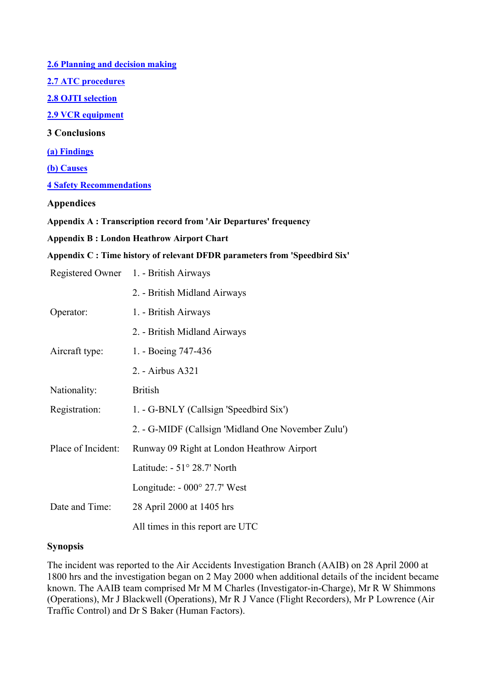<span id="page-2-0"></span>**[2.6 Planning and decision makin](#page-23-0)g [2.7 ATC procedures](#page-24-0) [2.8 OJTI selection](#page-24-0) [2.9 VCR equipmen](#page-25-0)t 3 Conclusions [\(a\) Findings](#page-25-0) [\(b\) Causes](#page-26-0) [4 Safety Recommendations](#page-26-0) Appendices Appendix A : Transcription record from 'Air Departures' frequency Appendix B : London Heathrow Airport Chart** 

#### **Appendix C : Time history of relevant DFDR parameters from 'Speedbird Six'**

|                    | Registered Owner 1. - British Airways              |
|--------------------|----------------------------------------------------|
|                    | 2. - British Midland Airways                       |
| Operator:          | 1. - British Airways                               |
|                    | 2. - British Midland Airways                       |
| Aircraft type:     | 1. - Boeing 747-436                                |
|                    | 2. - Airbus A321                                   |
| Nationality:       | <b>British</b>                                     |
| Registration:      | 1. - G-BNLY (Callsign 'Speedbird Six')             |
|                    | 2. - G-MIDF (Callsign 'Midland One November Zulu') |
| Place of Incident: | Runway 09 Right at London Heathrow Airport         |
|                    | Latitude: $-51^{\circ} 28.7$ ' North               |
|                    | Longitude: $-000^{\circ}$ 27.7' West               |
| Date and Time:     | 28 April 2000 at 1405 hrs                          |
|                    | All times in this report are UTC                   |

#### **Synopsis**

The incident was reported to the Air Accidents Investigation Branch (AAIB) on 28 April 2000 at 1800 hrs and the investigation began on 2 May 2000 when additional details of the incident became known. The AAIB team comprised Mr M M Charles (Investigator-in-Charge), Mr R W Shimmons (Operations), Mr J Blackwell (Operations), Mr R J Vance (Flight Recorders), Mr P Lowrence (Air Traffic Control) and Dr S Baker (Human Factors).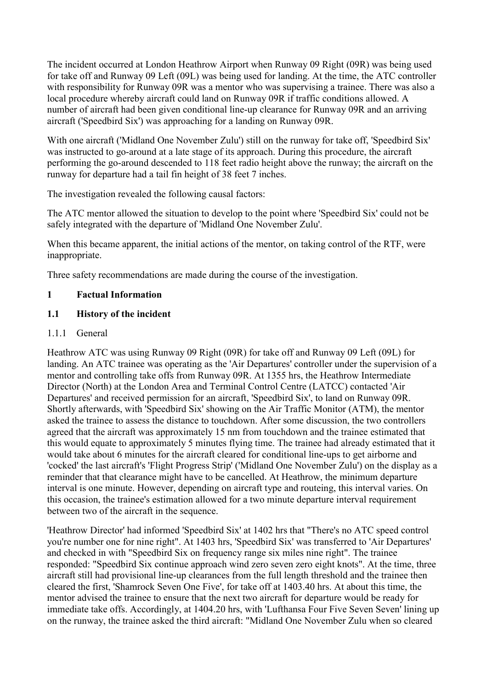<span id="page-3-0"></span>The incident occurred at London Heathrow Airport when Runway 09 Right (09R) was being used for take off and Runway 09 Left (09L) was being used for landing. At the time, the ATC controller with responsibility for Runway 09R was a mentor who was supervising a trainee. There was also a local procedure whereby aircraft could land on Runway 09R if traffic conditions allowed. A number of aircraft had been given conditional line-up clearance for Runway 09R and an arriving aircraft ('Speedbird Six') was approaching for a landing on Runway 09R.

With one aircraft ('Midland One November Zulu') still on the runway for take off, 'Speedbird Six' was instructed to go-around at a late stage of its approach. During this procedure, the aircraft performing the go-around descended to 118 feet radio height above the runway; the aircraft on the runway for departure had a tail fin height of 38 feet 7 inches.

The investigation revealed the following causal factors:

The ATC mentor allowed the situation to develop to the point where 'Speedbird Six' could not be safely integrated with the departure of 'Midland One November Zulu'.

When this became apparent, the initial actions of the mentor, on taking control of the RTF, were inappropriate.

Three safety recommendations are made during the course of the investigation.

# **1 Factual Information**

# **1.1 History of the incident**

1.1.1 General

Heathrow ATC was using Runway 09 Right (09R) for take off and Runway 09 Left (09L) for landing. An ATC trainee was operating as the 'Air Departures' controller under the supervision of a mentor and controlling take offs from Runway 09R. At 1355 hrs, the Heathrow Intermediate Director (North) at the London Area and Terminal Control Centre (LATCC) contacted 'Air Departures' and received permission for an aircraft, 'Speedbird Six', to land on Runway 09R. Shortly afterwards, with 'Speedbird Six' showing on the Air Traffic Monitor (ATM), the mentor asked the trainee to assess the distance to touchdown. After some discussion, the two controllers agreed that the aircraft was approximately 15 nm from touchdown and the trainee estimated that this would equate to approximately 5 minutes flying time. The trainee had already estimated that it would take about 6 minutes for the aircraft cleared for conditional line-ups to get airborne and 'cocked' the last aircraft's 'Flight Progress Strip' ('Midland One November Zulu') on the display as a reminder that that clearance might have to be cancelled. At Heathrow, the minimum departure interval is one minute. However, depending on aircraft type and routeing, this interval varies. On this occasion, the trainee's estimation allowed for a two minute departure interval requirement between two of the aircraft in the sequence.

'Heathrow Director' had informed 'Speedbird Six' at 1402 hrs that "There's no ATC speed control you're number one for nine right". At 1403 hrs, 'Speedbird Six' was transferred to 'Air Departures' and checked in with "Speedbird Six on frequency range six miles nine right". The trainee responded: "Speedbird Six continue approach wind zero seven zero eight knots". At the time, three aircraft still had provisional line-up clearances from the full length threshold and the trainee then cleared the first, 'Shamrock Seven One Five', for take off at 1403.40 hrs. At about this time, the mentor advised the trainee to ensure that the next two aircraft for departure would be ready for immediate take offs. Accordingly, at 1404.20 hrs, with 'Lufthansa Four Five Seven Seven' lining up on the runway, the trainee asked the third aircraft: "Midland One November Zulu when so cleared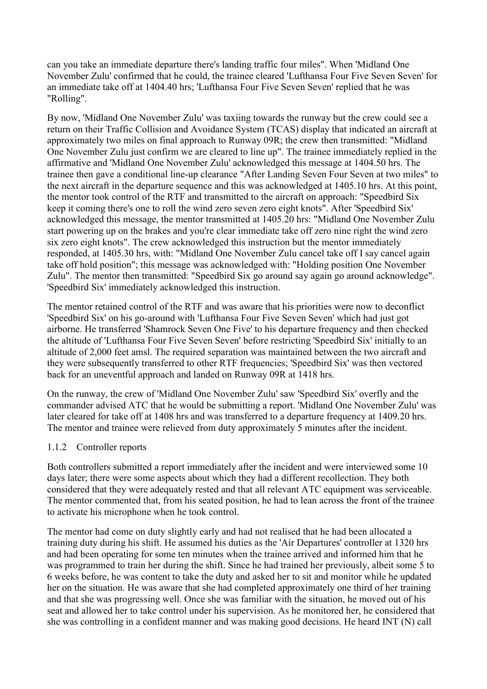can you take an immediate departure there's landing traffic four miles". When 'Midland One November Zulu' confirmed that he could, the trainee cleared 'Lufthansa Four Five Seven Seven' for an immediate take off at 1404.40 hrs; 'Lufthansa Four Five Seven Seven' replied that he was "Rolling".

By now, 'Midland One November Zulu' was taxiing towards the runway but the crew could see a return on their Traffic Collision and Avoidance System (TCAS) display that indicated an aircraft at approximately two miles on final approach to Runway 09R; the crew then transmitted: "Midland One November Zulu just confirm we are cleared to line up". The trainee immediately replied in the affirmative and 'Midland One November Zulu' acknowledged this message at 1404.50 hrs. The trainee then gave a conditional line-up clearance "After Landing Seven Four Seven at two miles" to the next aircraft in the departure sequence and this was acknowledged at 1405.10 hrs. At this point, the mentor took control of the RTF and transmitted to the aircraft on approach: "Speedbird Six keep it coming there's one to roll the wind zero seven zero eight knots". After 'Speedbird Six' acknowledged this message, the mentor transmitted at 1405.20 hrs: "Midland One November Zulu start powering up on the brakes and you're clear immediate take off zero nine right the wind zero six zero eight knots". The crew acknowledged this instruction but the mentor immediately responded, at 1405.30 hrs, with: "Midland One November Zulu cancel take off I say cancel again take off hold position"; this message was acknowledged with: "Holding position One November Zulu". The mentor then transmitted: "Speedbird Six go around say again go around acknowledge". 'Speedbird Six' immediately acknowledged this instruction.

The mentor retained control of the RTF and was aware that his priorities were now to deconflict 'Speedbird Six' on his go-around with 'Lufthansa Four Five Seven Seven' which had just got airborne. He transferred 'Shamrock Seven One Five' to his departure frequency and then checked the altitude of 'Lufthansa Four Five Seven Seven' before restricting 'Speedbird Six' initially to an altitude of 2,000 feet amsl. The required separation was maintained between the two aircraft and they were subsequently transferred to other RTF frequencies; 'Speedbird Six' was then vectored back for an uneventful approach and landed on Runway 09R at 1418 hrs.

On the runway, the crew of 'Midland One November Zulu' saw 'Speedbird Six' overfly and the commander advised ATC that he would be submitting a report. 'Midland One November Zulu' was later cleared for take off at 1408 hrs and was transferred to a departure frequency at 1409.20 hrs. The mentor and trainee were relieved from duty approximately 5 minutes after the incident.

## 1.1.2 Controller reports

Both controllers submitted a report immediately after the incident and were interviewed some 10 days later; there were some aspects about which they had a different recollection. They both considered that they were adequately rested and that all relevant ATC equipment was serviceable. The mentor commented that, from his seated position, he had to lean across the front of the trainee to activate his microphone when he took control.

The mentor had come on duty slightly early and had not realised that he had been allocated a training duty during his shift. He assumed his duties as the 'Air Departures' controller at 1320 hrs and had been operating for some ten minutes when the trainee arrived and informed him that he was programmed to train her during the shift. Since he had trained her previously, albeit some 5 to 6 weeks before, he was content to take the duty and asked her to sit and monitor while he updated her on the situation. He was aware that she had completed approximately one third of her training and that she was progressing well. Once she was familiar with the situation, he moved out of his seat and allowed her to take control under his supervision. As he monitored her, he considered that she was controlling in a confident manner and was making good decisions. He heard INT (N) call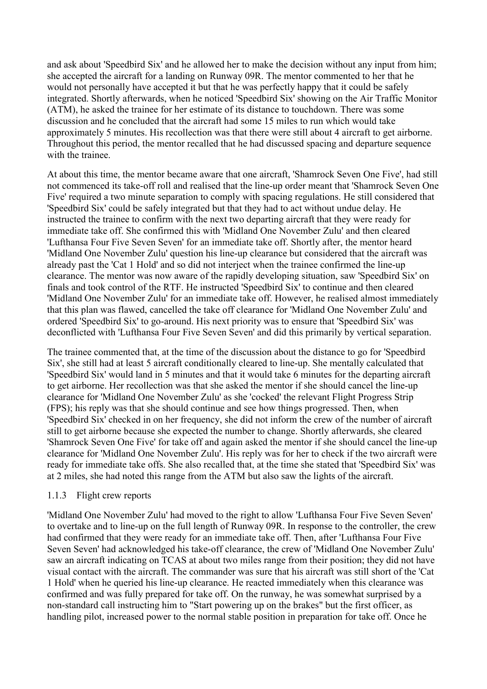and ask about 'Speedbird Six' and he allowed her to make the decision without any input from him; she accepted the aircraft for a landing on Runway 09R. The mentor commented to her that he would not personally have accepted it but that he was perfectly happy that it could be safely integrated. Shortly afterwards, when he noticed 'Speedbird Six' showing on the Air Traffic Monitor (ATM), he asked the trainee for her estimate of its distance to touchdown. There was some discussion and he concluded that the aircraft had some 15 miles to run which would take approximately 5 minutes. His recollection was that there were still about 4 aircraft to get airborne. Throughout this period, the mentor recalled that he had discussed spacing and departure sequence with the trainee.

At about this time, the mentor became aware that one aircraft, 'Shamrock Seven One Five', had still not commenced its take-off roll and realised that the line-up order meant that 'Shamrock Seven One Five' required a two minute separation to comply with spacing regulations. He still considered that 'Speedbird Six' could be safely integrated but that they had to act without undue delay. He instructed the trainee to confirm with the next two departing aircraft that they were ready for immediate take off. She confirmed this with 'Midland One November Zulu' and then cleared 'Lufthansa Four Five Seven Seven' for an immediate take off. Shortly after, the mentor heard 'Midland One November Zulu' question his line-up clearance but considered that the aircraft was already past the 'Cat 1 Hold' and so did not interject when the trainee confirmed the line-up clearance. The mentor was now aware of the rapidly developing situation, saw 'Speedbird Six' on finals and took control of the RTF. He instructed 'Speedbird Six' to continue and then cleared 'Midland One November Zulu' for an immediate take off. However, he realised almost immediately that this plan was flawed, cancelled the take off clearance for 'Midland One November Zulu' and ordered 'Speedbird Six' to go-around. His next priority was to ensure that 'Speedbird Six' was deconflicted with 'Lufthansa Four Five Seven Seven' and did this primarily by vertical separation.

The trainee commented that, at the time of the discussion about the distance to go for 'Speedbird Six', she still had at least 5 aircraft conditionally cleared to line-up. She mentally calculated that 'Speedbird Six' would land in 5 minutes and that it would take 6 minutes for the departing aircraft to get airborne. Her recollection was that she asked the mentor if she should cancel the line-up clearance for 'Midland One November Zulu' as she 'cocked' the relevant Flight Progress Strip (FPS); his reply was that she should continue and see how things progressed. Then, when 'Speedbird Six' checked in on her frequency, she did not inform the crew of the number of aircraft still to get airborne because she expected the number to change. Shortly afterwards, she cleared 'Shamrock Seven One Five' for take off and again asked the mentor if she should cancel the line-up clearance for 'Midland One November Zulu'. His reply was for her to check if the two aircraft were ready for immediate take offs. She also recalled that, at the time she stated that 'Speedbird Six' was at 2 miles, she had noted this range from the ATM but also saw the lights of the aircraft.

#### 1.1.3 Flight crew reports

'Midland One November Zulu' had moved to the right to allow 'Lufthansa Four Five Seven Seven' to overtake and to line-up on the full length of Runway 09R. In response to the controller, the crew had confirmed that they were ready for an immediate take off. Then, after 'Lufthansa Four Five Seven Seven' had acknowledged his take-off clearance, the crew of 'Midland One November Zulu' saw an aircraft indicating on TCAS at about two miles range from their position; they did not have visual contact with the aircraft. The commander was sure that his aircraft was still short of the 'Cat 1 Hold' when he queried his line-up clearance. He reacted immediately when this clearance was confirmed and was fully prepared for take off. On the runway, he was somewhat surprised by a non-standard call instructing him to "Start powering up on the brakes" but the first officer, as handling pilot, increased power to the normal stable position in preparation for take off. Once he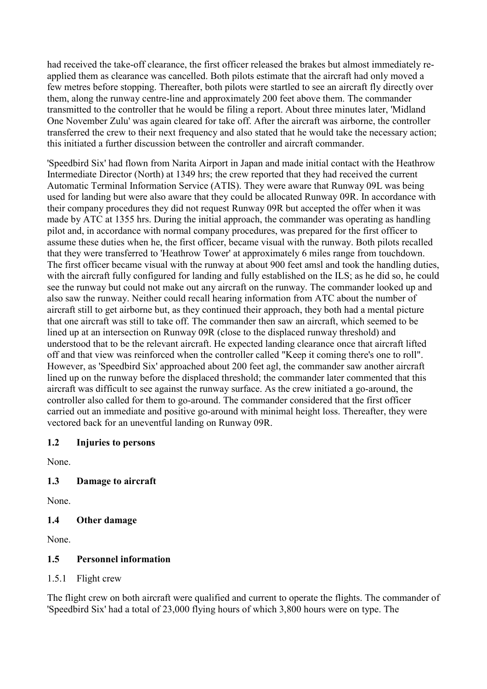<span id="page-6-0"></span>had received the take-off clearance, the first officer released the brakes but almost immediately reapplied them as clearance was cancelled. Both pilots estimate that the aircraft had only moved a few metres before stopping. Thereafter, both pilots were startled to see an aircraft fly directly over them, along the runway centre-line and approximately 200 feet above them. The commander transmitted to the controller that he would be filing a report. About three minutes later, 'Midland One November Zulu' was again cleared for take off. After the aircraft was airborne, the controller transferred the crew to their next frequency and also stated that he would take the necessary action; this initiated a further discussion between the controller and aircraft commander.

'Speedbird Six' had flown from Narita Airport in Japan and made initial contact with the Heathrow Intermediate Director (North) at 1349 hrs; the crew reported that they had received the current Automatic Terminal Information Service (ATIS). They were aware that Runway 09L was being used for landing but were also aware that they could be allocated Runway 09R. In accordance with their company procedures they did not request Runway 09R but accepted the offer when it was made by ATC at 1355 hrs. During the initial approach, the commander was operating as handling pilot and, in accordance with normal company procedures, was prepared for the first officer to assume these duties when he, the first officer, became visual with the runway. Both pilots recalled that they were transferred to 'Heathrow Tower' at approximately 6 miles range from touchdown. The first officer became visual with the runway at about 900 feet amsl and took the handling duties, with the aircraft fully configured for landing and fully established on the ILS; as he did so, he could see the runway but could not make out any aircraft on the runway. The commander looked up and also saw the runway. Neither could recall hearing information from ATC about the number of aircraft still to get airborne but, as they continued their approach, they both had a mental picture that one aircraft was still to take off. The commander then saw an aircraft, which seemed to be lined up at an intersection on Runway 09R (close to the displaced runway threshold) and understood that to be the relevant aircraft. He expected landing clearance once that aircraft lifted off and that view was reinforced when the controller called "Keep it coming there's one to roll". However, as 'Speedbird Six' approached about 200 feet agl, the commander saw another aircraft lined up on the runway before the displaced threshold; the commander later commented that this aircraft was difficult to see against the runway surface. As the crew initiated a go-around, the controller also called for them to go-around. The commander considered that the first officer carried out an immediate and positive go-around with minimal height loss. Thereafter, they were vectored back for an uneventful landing on Runway 09R.

## **1.2 Injuries to persons**

None.

## **1.3 Damage to aircraft**

None.

## **1.4 Other damage**

None.

## **1.5 Personnel information**

1.5.1 Flight crew

The flight crew on both aircraft were qualified and current to operate the flights. The commander of 'Speedbird Six' had a total of 23,000 flying hours of which 3,800 hours were on type. The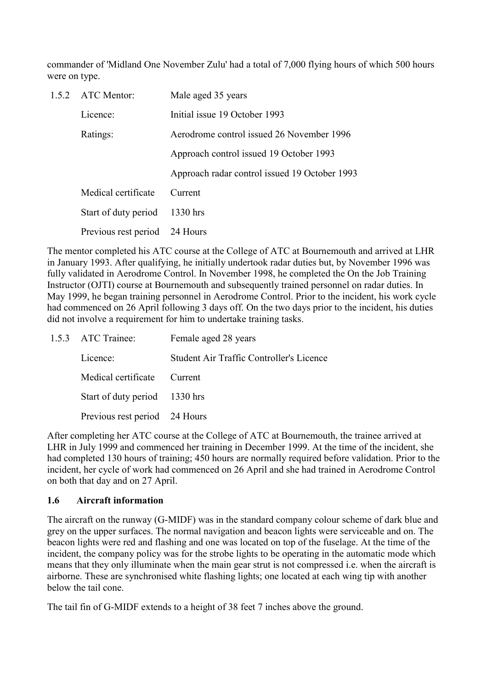<span id="page-7-0"></span>commander of 'Midland One November Zulu' had a total of 7,000 flying hours of which 500 hours were on type.

| 1.5.2 ATC Mentor:             | Male aged 35 years                            |
|-------------------------------|-----------------------------------------------|
| Licence:                      | Initial issue 19 October 1993                 |
| Ratings:                      | Aerodrome control issued 26 November 1996     |
|                               | Approach control issued 19 October 1993       |
|                               | Approach radar control issued 19 October 1993 |
| Medical certificate           | Current                                       |
| Start of duty period          | $1330$ hrs                                    |
| Previous rest period 24 Hours |                                               |

The mentor completed his ATC course at the College of ATC at Bournemouth and arrived at LHR in January 1993. After qualifying, he initially undertook radar duties but, by November 1996 was fully validated in Aerodrome Control. In November 1998, he completed the On the Job Training Instructor (OJTI) course at Bournemouth and subsequently trained personnel on radar duties. In May 1999, he began training personnel in Aerodrome Control. Prior to the incident, his work cycle had commenced on 26 April following 3 days off. On the two days prior to the incident, his duties did not involve a requirement for him to undertake training tasks.

| 1.5.3 ATC Trainee:            | Female aged 28 years                            |  |  |  |
|-------------------------------|-------------------------------------------------|--|--|--|
| Licence:                      | <b>Student Air Traffic Controller's Licence</b> |  |  |  |
| Medical certificate Current   |                                                 |  |  |  |
| Start of duty period 1330 hrs |                                                 |  |  |  |
| Previous rest period 24 Hours |                                                 |  |  |  |

After completing her ATC course at the College of ATC at Bournemouth, the trainee arrived at LHR in July 1999 and commenced her training in December 1999. At the time of the incident, she had completed 130 hours of training; 450 hours are normally required before validation. Prior to the incident, her cycle of work had commenced on 26 April and she had trained in Aerodrome Control on both that day and on 27 April.

## **1.6 Aircraft information**

The aircraft on the runway (G-MIDF) was in the standard company colour scheme of dark blue and grey on the upper surfaces. The normal navigation and beacon lights were serviceable and on. The beacon lights were red and flashing and one was located on top of the fuselage. At the time of the incident, the company policy was for the strobe lights to be operating in the automatic mode which means that they only illuminate when the main gear strut is not compressed i.e. when the aircraft is airborne. These are synchronised white flashing lights; one located at each wing tip with another below the tail cone.

The tail fin of G-MIDF extends to a height of 38 feet 7 inches above the ground.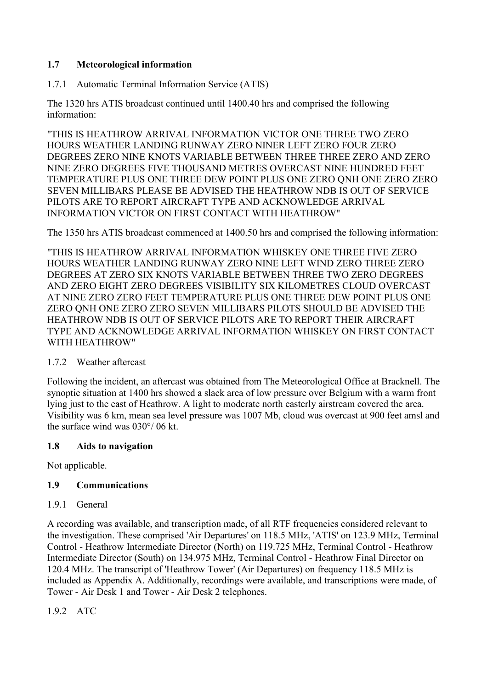# <span id="page-8-0"></span>**1.7 Meteorological information**

1.7.1 Automatic Terminal Information Service (ATIS)

The 1320 hrs ATIS broadcast continued until 1400.40 hrs and comprised the following information:

"THIS IS HEATHROW ARRIVAL INFORMATION VICTOR ONE THREE TWO ZERO HOURS WEATHER LANDING RUNWAY ZERO NINER LEFT ZERO FOUR ZERO DEGREES ZERO NINE KNOTS VARIABLE BETWEEN THREE THREE ZERO AND ZERO NINE ZERO DEGREES FIVE THOUSAND METRES OVERCAST NINE HUNDRED FEET TEMPERATURE PLUS ONE THREE DEW POINT PLUS ONE ZERO QNH ONE ZERO ZERO SEVEN MILLIBARS PLEASE BE ADVISED THE HEATHROW NDB IS OUT OF SERVICE PILOTS ARE TO REPORT AIRCRAFT TYPE AND ACKNOWLEDGE ARRIVAL INFORMATION VICTOR ON FIRST CONTACT WITH HEATHROW"

The 1350 hrs ATIS broadcast commenced at 1400.50 hrs and comprised the following information:

"THIS IS HEATHROW ARRIVAL INFORMATION WHISKEY ONE THREE FIVE ZERO HOURS WEATHER LANDING RUNWAY ZERO NINE LEFT WIND ZERO THREE ZERO DEGREES AT ZERO SIX KNOTS VARIABLE BETWEEN THREE TWO ZERO DEGREES AND ZERO EIGHT ZERO DEGREES VISIBILITY SIX KILOMETRES CLOUD OVERCAST AT NINE ZERO ZERO FEET TEMPERATURE PLUS ONE THREE DEW POINT PLUS ONE ZERO QNH ONE ZERO ZERO SEVEN MILLIBARS PILOTS SHOULD BE ADVISED THE HEATHROW NDB IS OUT OF SERVICE PILOTS ARE TO REPORT THEIR AIRCRAFT TYPE AND ACKNOWLEDGE ARRIVAL INFORMATION WHISKEY ON FIRST CONTACT WITH HEATHROW"

## 1.7.2 Weather aftercast

Following the incident, an aftercast was obtained from The Meteorological Office at Bracknell. The synoptic situation at 1400 hrs showed a slack area of low pressure over Belgium with a warm front lying just to the east of Heathrow. A light to moderate north easterly airstream covered the area. Visibility was 6 km, mean sea level pressure was 1007 Mb, cloud was overcast at 900 feet amsl and the surface wind was 030°/ 06 kt.

## **1.8 Aids to navigation**

Not applicable.

## **1.9 Communications**

1.9.1 General

A recording was available, and transcription made, of all RTF frequencies considered relevant to the investigation. These comprised 'Air Departures' on 118.5 MHz, 'ATIS' on 123.9 MHz, Terminal Control - Heathrow Intermediate Director (North) on 119.725 MHz, Terminal Control - Heathrow Intermediate Director (South) on 134.975 MHz, Terminal Control - Heathrow Final Director on 120.4 MHz. The transcript of 'Heathrow Tower' (Air Departures) on frequency 118.5 MHz is included as Appendix A. Additionally, recordings were available, and transcriptions were made, of Tower - Air Desk 1 and Tower - Air Desk 2 telephones.

1.9.2 ATC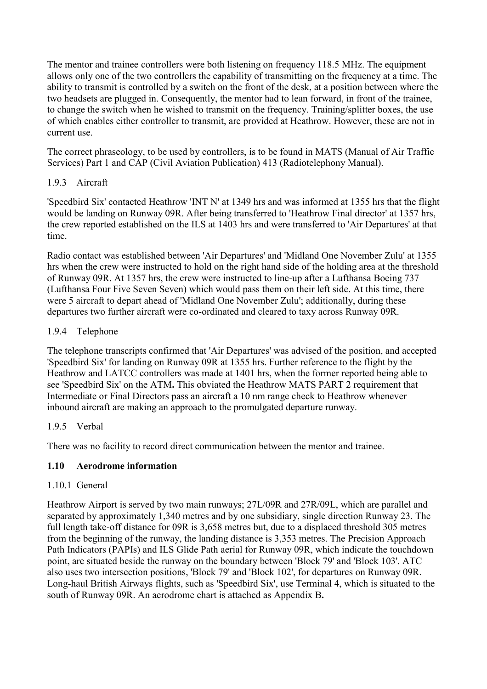<span id="page-9-0"></span>The mentor and trainee controllers were both listening on frequency 118.5 MHz. The equipment allows only one of the two controllers the capability of transmitting on the frequency at a time. The ability to transmit is controlled by a switch on the front of the desk, at a position between where the two headsets are plugged in. Consequently, the mentor had to lean forward, in front of the trainee, to change the switch when he wished to transmit on the frequency. Training/splitter boxes, the use of which enables either controller to transmit, are provided at Heathrow. However, these are not in current use.

The correct phraseology, to be used by controllers, is to be found in MATS (Manual of Air Traffic Services) Part 1 and CAP (Civil Aviation Publication) 413 (Radiotelephony Manual).

# 1.9.3 Aircraft

'Speedbird Six' contacted Heathrow 'INT N' at 1349 hrs and was informed at 1355 hrs that the flight would be landing on Runway 09R. After being transferred to 'Heathrow Final director' at 1357 hrs, the crew reported established on the ILS at 1403 hrs and were transferred to 'Air Departures' at that time.

Radio contact was established between 'Air Departures' and 'Midland One November Zulu' at 1355 hrs when the crew were instructed to hold on the right hand side of the holding area at the threshold of Runway 09R. At 1357 hrs, the crew were instructed to line-up after a Lufthansa Boeing 737 (Lufthansa Four Five Seven Seven) which would pass them on their left side. At this time, there were 5 aircraft to depart ahead of 'Midland One November Zulu'; additionally, during these departures two further aircraft were co-ordinated and cleared to taxy across Runway 09R.

# 1.9.4 Telephone

The telephone transcripts confirmed that 'Air Departures' was advised of the position, and accepted 'Speedbird Six' for landing on Runway 09R at 1355 hrs. Further reference to the flight by the Heathrow and LATCC controllers was made at 1401 hrs, when the former reported being able to see 'Speedbird Six' on the ATM**.** This obviated the Heathrow MATS PART 2 requirement that Intermediate or Final Directors pass an aircraft a 10 nm range check to Heathrow whenever inbound aircraft are making an approach to the promulgated departure runway.

# 1.9.5 Verbal

There was no facility to record direct communication between the mentor and trainee.

# **1.10 Aerodrome information**

## 1.10.1 General

Heathrow Airport is served by two main runways; 27L/09R and 27R/09L, which are parallel and separated by approximately 1,340 metres and by one subsidiary, single direction Runway 23. The full length take-off distance for 09R is 3,658 metres but, due to a displaced threshold 305 metres from the beginning of the runway, the landing distance is 3,353 metres. The Precision Approach Path Indicators (PAPIs) and ILS Glide Path aerial for Runway 09R, which indicate the touchdown point, are situated beside the runway on the boundary between 'Block 79' and 'Block 103'. ATC also uses two intersection positions, 'Block 79' and 'Block 102', for departures on Runway 09R. Long-haul British Airways flights, such as 'Speedbird Six', use Terminal 4, which is situated to the south of Runway 09R. An aerodrome chart is attached as Appendix B**.**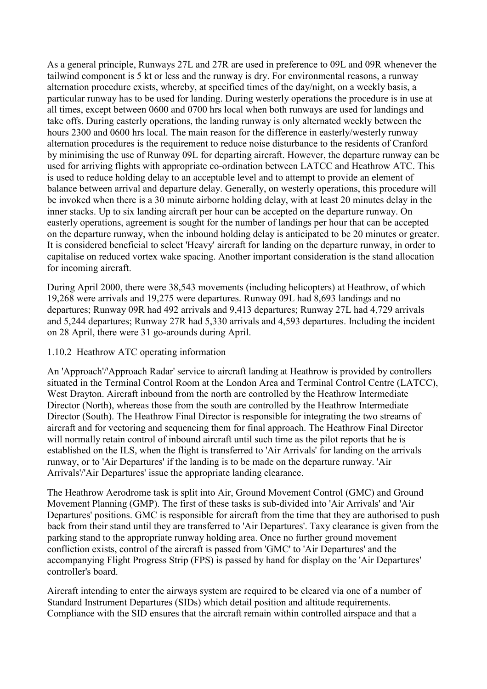As a general principle, Runways 27L and 27R are used in preference to 09L and 09R whenever the tailwind component is 5 kt or less and the runway is dry. For environmental reasons, a runway alternation procedure exists, whereby, at specified times of the day/night, on a weekly basis, a particular runway has to be used for landing. During westerly operations the procedure is in use at all times, except between 0600 and 0700 hrs local when both runways are used for landings and take offs. During easterly operations, the landing runway is only alternated weekly between the hours 2300 and 0600 hrs local. The main reason for the difference in easterly/westerly runway alternation procedures is the requirement to reduce noise disturbance to the residents of Cranford by minimising the use of Runway 09L for departing aircraft. However, the departure runway can be used for arriving flights with appropriate co-ordination between LATCC and Heathrow ATC. This is used to reduce holding delay to an acceptable level and to attempt to provide an element of balance between arrival and departure delay. Generally, on westerly operations, this procedure will be invoked when there is a 30 minute airborne holding delay, with at least 20 minutes delay in the inner stacks. Up to six landing aircraft per hour can be accepted on the departure runway. On easterly operations, agreement is sought for the number of landings per hour that can be accepted on the departure runway, when the inbound holding delay is anticipated to be 20 minutes or greater. It is considered beneficial to select 'Heavy' aircraft for landing on the departure runway, in order to capitalise on reduced vortex wake spacing. Another important consideration is the stand allocation for incoming aircraft.

During April 2000, there were 38,543 movements (including helicopters) at Heathrow, of which 19,268 were arrivals and 19,275 were departures. Runway 09L had 8,693 landings and no departures; Runway 09R had 492 arrivals and 9,413 departures; Runway 27L had 4,729 arrivals and 5,244 departures; Runway 27R had 5,330 arrivals and 4,593 departures. Including the incident on 28 April, there were 31 go-arounds during April.

#### 1.10.2 Heathrow ATC operating information

An 'Approach'/'Approach Radar' service to aircraft landing at Heathrow is provided by controllers situated in the Terminal Control Room at the London Area and Terminal Control Centre (LATCC), West Drayton. Aircraft inbound from the north are controlled by the Heathrow Intermediate Director (North), whereas those from the south are controlled by the Heathrow Intermediate Director (South). The Heathrow Final Director is responsible for integrating the two streams of aircraft and for vectoring and sequencing them for final approach. The Heathrow Final Director will normally retain control of inbound aircraft until such time as the pilot reports that he is established on the ILS, when the flight is transferred to 'Air Arrivals' for landing on the arrivals runway, or to 'Air Departures' if the landing is to be made on the departure runway. 'Air Arrivals'/'Air Departures' issue the appropriate landing clearance.

The Heathrow Aerodrome task is split into Air, Ground Movement Control (GMC) and Ground Movement Planning (GMP). The first of these tasks is sub-divided into 'Air Arrivals' and 'Air Departures' positions. GMC is responsible for aircraft from the time that they are authorised to push back from their stand until they are transferred to 'Air Departures'. Taxy clearance is given from the parking stand to the appropriate runway holding area. Once no further ground movement confliction exists, control of the aircraft is passed from 'GMC' to 'Air Departures' and the accompanying Flight Progress Strip (FPS) is passed by hand for display on the 'Air Departures' controller's board.

Aircraft intending to enter the airways system are required to be cleared via one of a number of Standard Instrument Departures (SIDs) which detail position and altitude requirements. Compliance with the SID ensures that the aircraft remain within controlled airspace and that a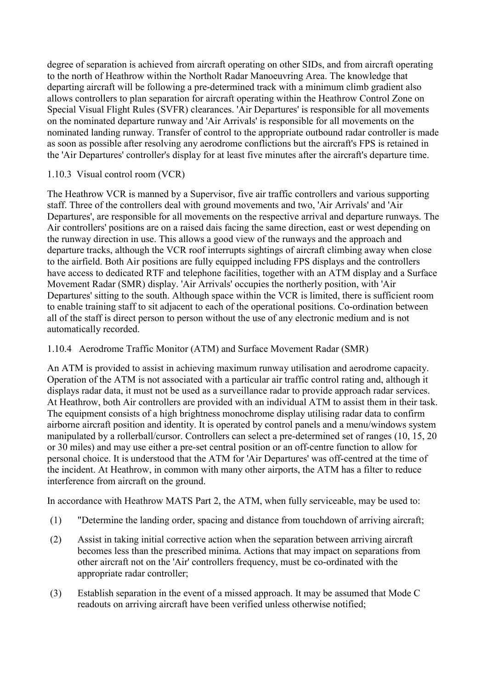degree of separation is achieved from aircraft operating on other SIDs, and from aircraft operating to the north of Heathrow within the Northolt Radar Manoeuvring Area. The knowledge that departing aircraft will be following a pre-determined track with a minimum climb gradient also allows controllers to plan separation for aircraft operating within the Heathrow Control Zone on Special Visual Flight Rules (SVFR) clearances. 'Air Departures' is responsible for all movements on the nominated departure runway and 'Air Arrivals' is responsible for all movements on the nominated landing runway. Transfer of control to the appropriate outbound radar controller is made as soon as possible after resolving any aerodrome conflictions but the aircraft's FPS is retained in the 'Air Departures' controller's display for at least five minutes after the aircraft's departure time.

## 1.10.3 Visual control room (VCR)

The Heathrow VCR is manned by a Supervisor, five air traffic controllers and various supporting staff. Three of the controllers deal with ground movements and two, 'Air Arrivals' and 'Air Departures', are responsible for all movements on the respective arrival and departure runways. The Air controllers' positions are on a raised dais facing the same direction, east or west depending on the runway direction in use. This allows a good view of the runways and the approach and departure tracks, although the VCR roof interrupts sightings of aircraft climbing away when close to the airfield. Both Air positions are fully equipped including FPS displays and the controllers have access to dedicated RTF and telephone facilities, together with an ATM display and a Surface Movement Radar (SMR) display. 'Air Arrivals' occupies the northerly position, with 'Air Departures' sitting to the south. Although space within the VCR is limited, there is sufficient room to enable training staff to sit adjacent to each of the operational positions. Co-ordination between all of the staff is direct person to person without the use of any electronic medium and is not automatically recorded.

# 1.10.4 Aerodrome Traffic Monitor (ATM) and Surface Movement Radar (SMR)

An ATM is provided to assist in achieving maximum runway utilisation and aerodrome capacity. Operation of the ATM is not associated with a particular air traffic control rating and, although it displays radar data, it must not be used as a surveillance radar to provide approach radar services. At Heathrow, both Air controllers are provided with an individual ATM to assist them in their task. The equipment consists of a high brightness monochrome display utilising radar data to confirm airborne aircraft position and identity. It is operated by control panels and a menu/windows system manipulated by a rollerball/cursor. Controllers can select a pre-determined set of ranges (10, 15, 20 or 30 miles) and may use either a pre-set central position or an off-centre function to allow for personal choice. It is understood that the ATM for 'Air Departures' was off-centred at the time of the incident. At Heathrow, in common with many other airports, the ATM has a filter to reduce interference from aircraft on the ground.

In accordance with Heathrow MATS Part 2, the ATM, when fully serviceable, may be used to:

- (1) "Determine the landing order, spacing and distance from touchdown of arriving aircraft;
- (2) Assist in taking initial corrective action when the separation between arriving aircraft becomes less than the prescribed minima. Actions that may impact on separations from other aircraft not on the 'Air' controllers frequency, must be co-ordinated with the appropriate radar controller;
- (3) Establish separation in the event of a missed approach. It may be assumed that Mode C readouts on arriving aircraft have been verified unless otherwise notified;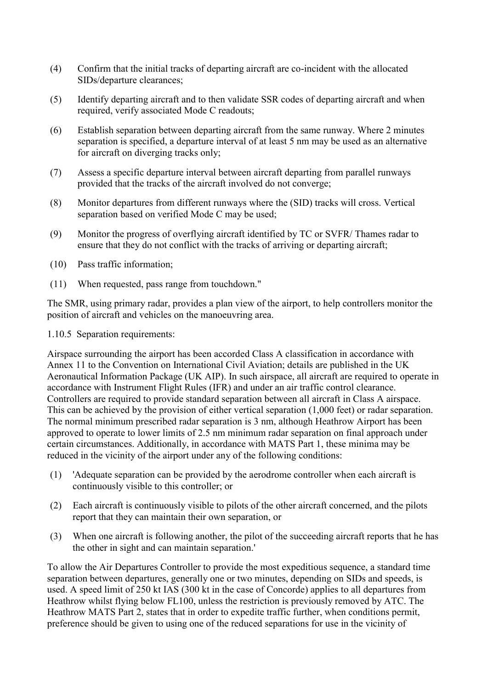- (4) Confirm that the initial tracks of departing aircraft are co-incident with the allocated SIDs/departure clearances;
- (5) Identify departing aircraft and to then validate SSR codes of departing aircraft and when required, verify associated Mode C readouts;
- (6) Establish separation between departing aircraft from the same runway. Where 2 minutes separation is specified, a departure interval of at least 5 nm may be used as an alternative for aircraft on diverging tracks only;
- (7) Assess a specific departure interval between aircraft departing from parallel runways provided that the tracks of the aircraft involved do not converge;
- (8) Monitor departures from different runways where the (SID) tracks will cross. Vertical separation based on verified Mode C may be used;
- (9) Monitor the progress of overflying aircraft identified by TC or SVFR/ Thames radar to ensure that they do not conflict with the tracks of arriving or departing aircraft;
- (10) Pass traffic information;
- (11) When requested, pass range from touchdown."

The SMR, using primary radar, provides a plan view of the airport, to help controllers monitor the position of aircraft and vehicles on the manoeuvring area.

1.10.5 Separation requirements:

Airspace surrounding the airport has been accorded Class A classification in accordance with Annex 11 to the Convention on International Civil Aviation; details are published in the UK Aeronautical Information Package (UK AIP). In such airspace, all aircraft are required to operate in accordance with Instrument Flight Rules (IFR) and under an air traffic control clearance. Controllers are required to provide standard separation between all aircraft in Class A airspace. This can be achieved by the provision of either vertical separation (1,000 feet) or radar separation. The normal minimum prescribed radar separation is 3 nm, although Heathrow Airport has been approved to operate to lower limits of 2.5 nm minimum radar separation on final approach under certain circumstances. Additionally, in accordance with MATS Part 1, these minima may be reduced in the vicinity of the airport under any of the following conditions:

- (1) 'Adequate separation can be provided by the aerodrome controller when each aircraft is continuously visible to this controller; or
- (2) Each aircraft is continuously visible to pilots of the other aircraft concerned, and the pilots report that they can maintain their own separation, or
- (3) When one aircraft is following another, the pilot of the succeeding aircraft reports that he has the other in sight and can maintain separation.'

To allow the Air Departures Controller to provide the most expeditious sequence, a standard time separation between departures, generally one or two minutes, depending on SIDs and speeds, is used. A speed limit of 250 kt IAS (300 kt in the case of Concorde) applies to all departures from Heathrow whilst flying below FL100, unless the restriction is previously removed by ATC. The Heathrow MATS Part 2, states that in order to expedite traffic further, when conditions permit, preference should be given to using one of the reduced separations for use in the vicinity of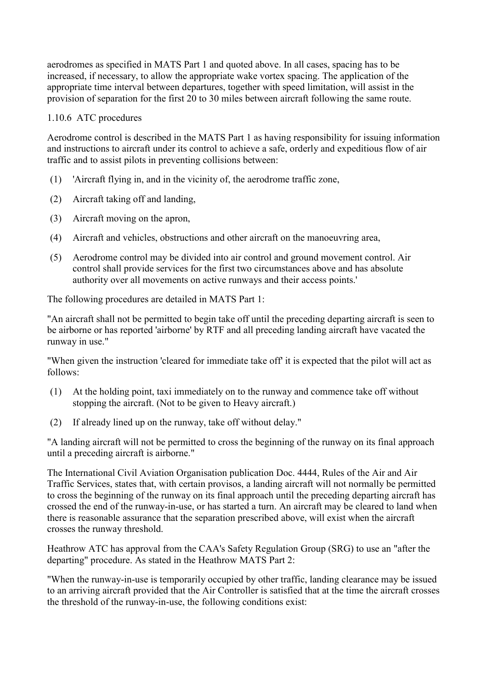aerodromes as specified in MATS Part 1 and quoted above. In all cases, spacing has to be increased, if necessary, to allow the appropriate wake vortex spacing. The application of the appropriate time interval between departures, together with speed limitation, will assist in the provision of separation for the first 20 to 30 miles between aircraft following the same route.

#### 1.10.6 ATC procedures

Aerodrome control is described in the MATS Part 1 as having responsibility for issuing information and instructions to aircraft under its control to achieve a safe, orderly and expeditious flow of air traffic and to assist pilots in preventing collisions between:

- (1) 'Aircraft flying in, and in the vicinity of, the aerodrome traffic zone,
- (2) Aircraft taking off and landing,
- (3) Aircraft moving on the apron,
- (4) Aircraft and vehicles, obstructions and other aircraft on the manoeuvring area,
- (5) Aerodrome control may be divided into air control and ground movement control. Air control shall provide services for the first two circumstances above and has absolute authority over all movements on active runways and their access points.'

The following procedures are detailed in MATS Part 1:

"An aircraft shall not be permitted to begin take off until the preceding departing aircraft is seen to be airborne or has reported 'airborne' by RTF and all preceding landing aircraft have vacated the runway in use."

"When given the instruction 'cleared for immediate take off' it is expected that the pilot will act as follows:

- (1) At the holding point, taxi immediately on to the runway and commence take off without stopping the aircraft. (Not to be given to Heavy aircraft.)
- (2) If already lined up on the runway, take off without delay."

"A landing aircraft will not be permitted to cross the beginning of the runway on its final approach until a preceding aircraft is airborne."

The International Civil Aviation Organisation publication Doc. 4444, Rules of the Air and Air Traffic Services, states that, with certain provisos, a landing aircraft will not normally be permitted to cross the beginning of the runway on its final approach until the preceding departing aircraft has crossed the end of the runway-in-use, or has started a turn. An aircraft may be cleared to land when there is reasonable assurance that the separation prescribed above, will exist when the aircraft crosses the runway threshold.

Heathrow ATC has approval from the CAA's Safety Regulation Group (SRG) to use an "after the departing" procedure. As stated in the Heathrow MATS Part 2:

"When the runway-in-use is temporarily occupied by other traffic, landing clearance may be issued to an arriving aircraft provided that the Air Controller is satisfied that at the time the aircraft crosses the threshold of the runway-in-use, the following conditions exist: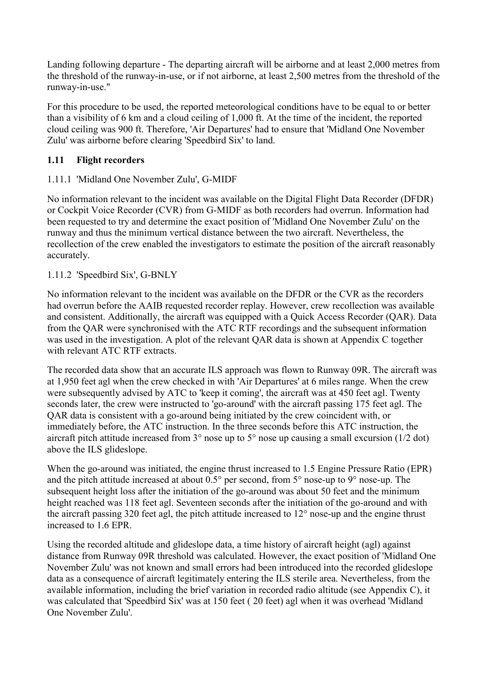<span id="page-14-0"></span>Landing following departure - The departing aircraft will be airborne and at least 2,000 metres from the threshold of the runway-in-use, or if not airborne, at least 2,500 metres from the threshold of the runway-in-use."

For this procedure to be used, the reported meteorological conditions have to be equal to or better than a visibility of 6 km and a cloud ceiling of 1,000 ft. At the time of the incident, the reported cloud ceiling was 900 ft. Therefore, 'Air Departures' had to ensure that 'Midland One November Zulu' was airborne before clearing 'Speedbird Six' to land.

# **1.11 Flight recorders**

# 1.11.1 'Midland One November Zulu', G-MIDF

No information relevant to the incident was available on the Digital Flight Data Recorder (DFDR) or Cockpit Voice Recorder (CVR) from G-MIDF as both recorders had overrun. Information had been requested to try and determine the exact position of 'Midland One November Zulu' on the runway and thus the minimum vertical distance between the two aircraft. Nevertheless, the recollection of the crew enabled the investigators to estimate the position of the aircraft reasonably accurately.

# 1.11.2 'Speedbird Six', G-BNLY

No information relevant to the incident was available on the DFDR or the CVR as the recorders had overrun before the AAIB requested recorder replay. However, crew recollection was available and consistent. Additionally, the aircraft was equipped with a Quick Access Recorder (QAR). Data from the QAR were synchronised with the ATC RTF recordings and the subsequent information was used in the investigation. A plot of the relevant QAR data is shown at Appendix C together with relevant ATC RTF extracts.

The recorded data show that an accurate ILS approach was flown to Runway 09R. The aircraft was at 1,950 feet agl when the crew checked in with 'Air Departures' at 6 miles range. When the crew were subsequently advised by ATC to 'keep it coming', the aircraft was at 450 feet agl. Twenty seconds later, the crew were instructed to 'go-around' with the aircraft passing 175 feet agl. The QAR data is consistent with a go-around being initiated by the crew coincident with, or immediately before, the ATC instruction. In the three seconds before this ATC instruction, the aircraft pitch attitude increased from  $3^{\circ}$  nose up to  $5^{\circ}$  nose up causing a small excursion (1/2 dot) above the ILS glideslope.

When the go-around was initiated, the engine thrust increased to 1.5 Engine Pressure Ratio (EPR) and the pitch attitude increased at about 0.5° per second, from 5° nose-up to 9° nose-up. The subsequent height loss after the initiation of the go-around was about 50 feet and the minimum height reached was 118 feet agl. Seventeen seconds after the initiation of the go-around and with the aircraft passing 320 feet agl, the pitch attitude increased to 12° nose-up and the engine thrust increased to 1.6 EPR.

Using the recorded altitude and glideslope data, a time history of aircraft height (agl) against distance from Runway 09R threshold was calculated. However, the exact position of 'Midland One November Zulu' was not known and small errors had been introduced into the recorded glideslope data as a consequence of aircraft legitimately entering the ILS sterile area. Nevertheless, from the available information, including the brief variation in recorded radio altitude (see Appendix C), it was calculated that 'Speedbird Six' was at 150 feet ( 20 feet) agl when it was overhead 'Midland One November Zulu'.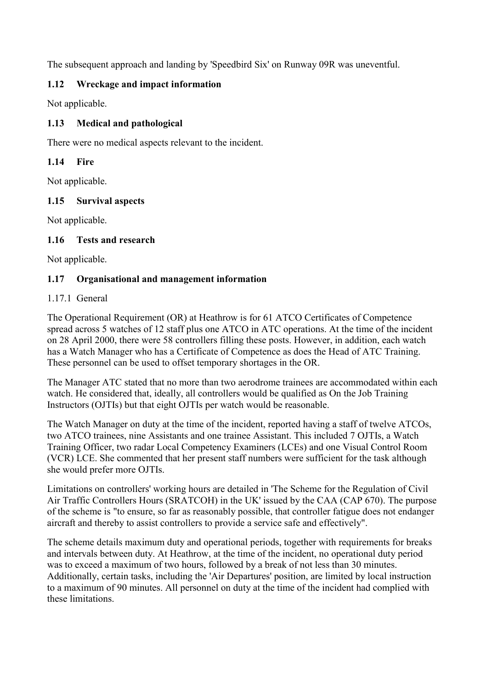<span id="page-15-0"></span>The subsequent approach and landing by 'Speedbird Six' on Runway 09R was uneventful.

# **1.12 Wreckage and impact information**

Not applicable.

# **1.13 Medical and pathological**

There were no medical aspects relevant to the incident.

# **1.14 Fire**

Not applicable.

# **1.15 Survival aspects**

Not applicable.

# **1.16 Tests and research**

Not applicable.

# **1.17 Organisational and management information**

## 1.17.1 General

The Operational Requirement (OR) at Heathrow is for 61 ATCO Certificates of Competence spread across 5 watches of 12 staff plus one ATCO in ATC operations. At the time of the incident on 28 April 2000, there were 58 controllers filling these posts. However, in addition, each watch has a Watch Manager who has a Certificate of Competence as does the Head of ATC Training. These personnel can be used to offset temporary shortages in the OR.

The Manager ATC stated that no more than two aerodrome trainees are accommodated within each watch. He considered that, ideally, all controllers would be qualified as On the Job Training Instructors (OJTIs) but that eight OJTIs per watch would be reasonable.

The Watch Manager on duty at the time of the incident, reported having a staff of twelve ATCOs, two ATCO trainees, nine Assistants and one trainee Assistant. This included 7 OJTIs, a Watch Training Officer, two radar Local Competency Examiners (LCEs) and one Visual Control Room (VCR) LCE. She commented that her present staff numbers were sufficient for the task although she would prefer more OJTIs.

Limitations on controllers' working hours are detailed in 'The Scheme for the Regulation of Civil Air Traffic Controllers Hours (SRATCOH) in the UK' issued by the CAA (CAP 670). The purpose of the scheme is "to ensure, so far as reasonably possible, that controller fatigue does not endanger aircraft and thereby to assist controllers to provide a service safe and effectively".

The scheme details maximum duty and operational periods, together with requirements for breaks and intervals between duty. At Heathrow, at the time of the incident, no operational duty period was to exceed a maximum of two hours, followed by a break of not less than 30 minutes. Additionally, certain tasks, including the 'Air Departures' position, are limited by local instruction to a maximum of 90 minutes. All personnel on duty at the time of the incident had complied with these limitations.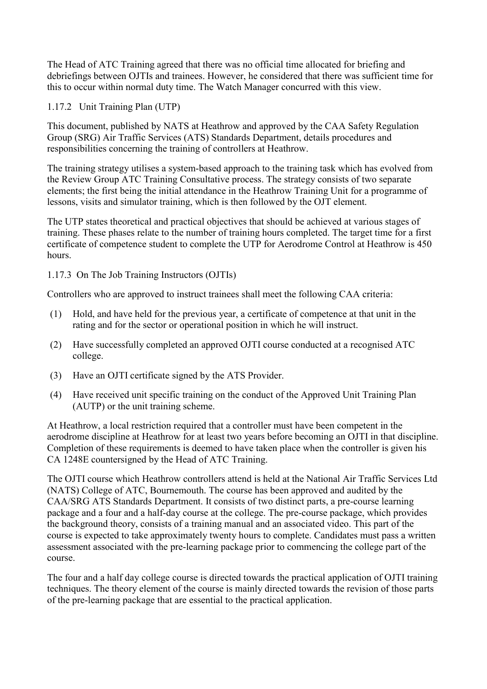The Head of ATC Training agreed that there was no official time allocated for briefing and debriefings between OJTIs and trainees. However, he considered that there was sufficient time for this to occur within normal duty time. The Watch Manager concurred with this view.

1.17.2 Unit Training Plan (UTP)

This document, published by NATS at Heathrow and approved by the CAA Safety Regulation Group (SRG) Air Traffic Services (ATS) Standards Department, details procedures and responsibilities concerning the training of controllers at Heathrow.

The training strategy utilises a system-based approach to the training task which has evolved from the Review Group ATC Training Consultative process. The strategy consists of two separate elements; the first being the initial attendance in the Heathrow Training Unit for a programme of lessons, visits and simulator training, which is then followed by the OJT element.

The UTP states theoretical and practical objectives that should be achieved at various stages of training. These phases relate to the number of training hours completed. The target time for a first certificate of competence student to complete the UTP for Aerodrome Control at Heathrow is 450 hours.

1.17.3 On The Job Training Instructors (OJTIs)

Controllers who are approved to instruct trainees shall meet the following CAA criteria:

- (1) Hold, and have held for the previous year, a certificate of competence at that unit in the rating and for the sector or operational position in which he will instruct.
- (2) Have successfully completed an approved OJTI course conducted at a recognised ATC college.
- (3) Have an OJTI certificate signed by the ATS Provider.
- (4) Have received unit specific training on the conduct of the Approved Unit Training Plan (AUTP) or the unit training scheme.

At Heathrow, a local restriction required that a controller must have been competent in the aerodrome discipline at Heathrow for at least two years before becoming an OJTI in that discipline. Completion of these requirements is deemed to have taken place when the controller is given his CA 1248E countersigned by the Head of ATC Training.

The OJTI course which Heathrow controllers attend is held at the National Air Traffic Services Ltd (NATS) College of ATC, Bournemouth. The course has been approved and audited by the CAA/SRG ATS Standards Department. It consists of two distinct parts, a pre-course learning package and a four and a half-day course at the college. The pre-course package, which provides the background theory, consists of a training manual and an associated video. This part of the course is expected to take approximately twenty hours to complete. Candidates must pass a written assessment associated with the pre-learning package prior to commencing the college part of the course.

The four and a half day college course is directed towards the practical application of OJTI training techniques. The theory element of the course is mainly directed towards the revision of those parts of the pre-learning package that are essential to the practical application.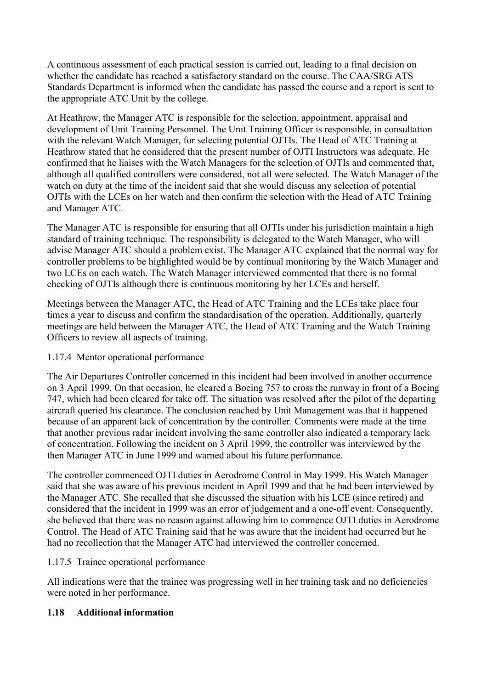<span id="page-17-0"></span>A continuous assessment of each practical session is carried out, leading to a final decision on whether the candidate has reached a satisfactory standard on the course. The CAA/SRG ATS Standards Department is informed when the candidate has passed the course and a report is sent to the appropriate ATC Unit by the college.

At Heathrow, the Manager ATC is responsible for the selection, appointment, appraisal and development of Unit Training Personnel. The Unit Training Officer is responsible, in consultation with the relevant Watch Manager, for selecting potential OJTIs. The Head of ATC Training at Heathrow stated that he considered that the present number of OJTI Instructors was adequate. He confirmed that he liaises with the Watch Managers for the selection of OJTIs and commented that, although all qualified controllers were considered, not all were selected. The Watch Manager of the watch on duty at the time of the incident said that she would discuss any selection of potential OJTIs with the LCEs on her watch and then confirm the selection with the Head of ATC Training and Manager ATC.

The Manager ATC is responsible for ensuring that all OJTIs under his jurisdiction maintain a high standard of training technique. The responsibility is delegated to the Watch Manager, who will advise Manager ATC should a problem exist. The Manager ATC explained that the normal way for controller problems to be highlighted would be by continual monitoring by the Watch Manager and two LCEs on each watch. The Watch Manager interviewed commented that there is no formal checking of OJTIs although there is continuous monitoring by her LCEs and herself.

Meetings between the Manager ATC, the Head of ATC Training and the LCEs take place four times a year to discuss and confirm the standardisation of the operation. Additionally, quarterly meetings are held between the Manager ATC, the Head of ATC Training and the Watch Training Officers to review all aspects of training.

## 1.17.4 Mentor operational performance

The Air Departures Controller concerned in this incident had been involved in another occurrence on 3 April 1999. On that occasion, he cleared a Boeing 757 to cross the runway in front of a Boeing 747, which had been cleared for take off. The situation was resolved after the pilot of the departing aircraft queried his clearance. The conclusion reached by Unit Management was that it happened because of an apparent lack of concentration by the controller. Comments were made at the time that another previous radar incident involving the same controller also indicated a temporary lack of concentration. Following the incident on 3 April 1999, the controller was interviewed by the then Manager ATC in June 1999 and warned about his future performance.

The controller commenced OJTI duties in Aerodrome Control in May 1999. His Watch Manager said that she was aware of his previous incident in April 1999 and that he had been interviewed by the Manager ATC. She recalled that she discussed the situation with his LCE (since retired) and considered that the incident in 1999 was an error of judgement and a one-off event. Consequently, she believed that there was no reason against allowing him to commence OJTI duties in Aerodrome Control. The Head of ATC Training said that he was aware that the incident had occurred but he had no recollection that the Manager ATC had interviewed the controller concerned.

## 1.17.5 Trainee operational performance

All indications were that the trainee was progressing well in her training task and no deficiencies were noted in her performance.

## **1.18 Additional information**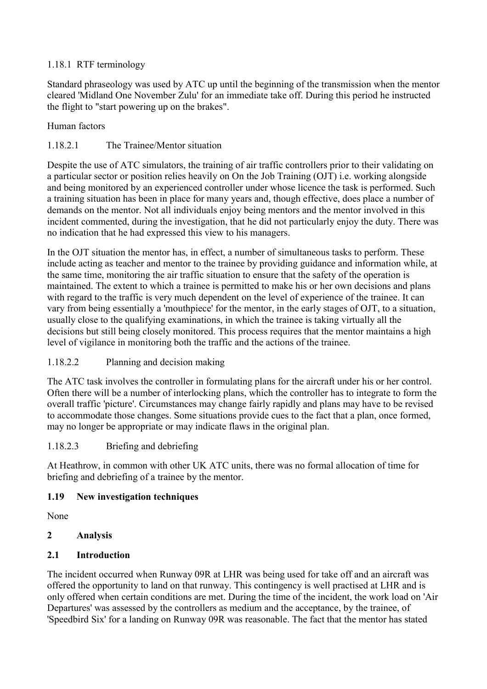# <span id="page-18-0"></span>1.18.1 RTF terminology

Standard phraseology was used by ATC up until the beginning of the transmission when the mentor cleared 'Midland One November Zulu' for an immediate take off. During this period he instructed the flight to "start powering up on the brakes".

## Human factors

# 1.18.2.1 The Trainee/Mentor situation

Despite the use of ATC simulators, the training of air traffic controllers prior to their validating on a particular sector or position relies heavily on On the Job Training (OJT) i.e. working alongside and being monitored by an experienced controller under whose licence the task is performed. Such a training situation has been in place for many years and, though effective, does place a number of demands on the mentor. Not all individuals enjoy being mentors and the mentor involved in this incident commented, during the investigation, that he did not particularly enjoy the duty. There was no indication that he had expressed this view to his managers.

In the OJT situation the mentor has, in effect, a number of simultaneous tasks to perform. These include acting as teacher and mentor to the trainee by providing guidance and information while, at the same time, monitoring the air traffic situation to ensure that the safety of the operation is maintained. The extent to which a trainee is permitted to make his or her own decisions and plans with regard to the traffic is very much dependent on the level of experience of the trainee. It can vary from being essentially a 'mouthpiece' for the mentor, in the early stages of OJT, to a situation, usually close to the qualifying examinations, in which the trainee is taking virtually all the decisions but still being closely monitored. This process requires that the mentor maintains a high level of vigilance in monitoring both the traffic and the actions of the trainee.

# 1.18.2.2 Planning and decision making

The ATC task involves the controller in formulating plans for the aircraft under his or her control. Often there will be a number of interlocking plans, which the controller has to integrate to form the overall traffic 'picture'. Circumstances may change fairly rapidly and plans may have to be revised to accommodate those changes. Some situations provide cues to the fact that a plan, once formed, may no longer be appropriate or may indicate flaws in the original plan.

## 1.18.2.3 Briefing and debriefing

At Heathrow, in common with other UK ATC units, there was no formal allocation of time for briefing and debriefing of a trainee by the mentor.

## **1.19 New investigation techniques**

None

# **2 Analysis**

## **2.1 Introduction**

The incident occurred when Runway 09R at LHR was being used for take off and an aircraft was offered the opportunity to land on that runway. This contingency is well practised at LHR and is only offered when certain conditions are met. During the time of the incident, the work load on 'Air Departures' was assessed by the controllers as medium and the acceptance, by the trainee, of 'Speedbird Six' for a landing on Runway 09R was reasonable. The fact that the mentor has stated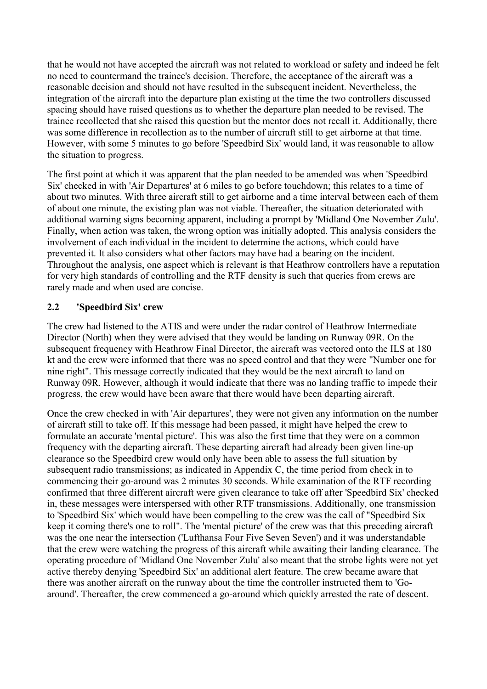<span id="page-19-0"></span>that he would not have accepted the aircraft was not related to workload or safety and indeed he felt no need to countermand the trainee's decision. Therefore, the acceptance of the aircraft was a reasonable decision and should not have resulted in the subsequent incident. Nevertheless, the integration of the aircraft into the departure plan existing at the time the two controllers discussed spacing should have raised questions as to whether the departure plan needed to be revised. The trainee recollected that she raised this question but the mentor does not recall it. Additionally, there was some difference in recollection as to the number of aircraft still to get airborne at that time. However, with some 5 minutes to go before 'Speedbird Six' would land, it was reasonable to allow the situation to progress.

The first point at which it was apparent that the plan needed to be amended was when 'Speedbird Six' checked in with 'Air Departures' at 6 miles to go before touchdown; this relates to a time of about two minutes. With three aircraft still to get airborne and a time interval between each of them of about one minute, the existing plan was not viable. Thereafter, the situation deteriorated with additional warning signs becoming apparent, including a prompt by 'Midland One November Zulu'. Finally, when action was taken, the wrong option was initially adopted. This analysis considers the involvement of each individual in the incident to determine the actions, which could have prevented it. It also considers what other factors may have had a bearing on the incident. Throughout the analysis, one aspect which is relevant is that Heathrow controllers have a reputation for very high standards of controlling and the RTF density is such that queries from crews are rarely made and when used are concise.

# **2.2 'Speedbird Six' crew**

The crew had listened to the ATIS and were under the radar control of Heathrow Intermediate Director (North) when they were advised that they would be landing on Runway 09R. On the subsequent frequency with Heathrow Final Director, the aircraft was vectored onto the ILS at 180 kt and the crew were informed that there was no speed control and that they were "Number one for nine right". This message correctly indicated that they would be the next aircraft to land on Runway 09R. However, although it would indicate that there was no landing traffic to impede their progress, the crew would have been aware that there would have been departing aircraft.

Once the crew checked in with 'Air departures', they were not given any information on the number of aircraft still to take off. If this message had been passed, it might have helped the crew to formulate an accurate 'mental picture'. This was also the first time that they were on a common frequency with the departing aircraft. These departing aircraft had already been given line-up clearance so the Speedbird crew would only have been able to assess the full situation by subsequent radio transmissions; as indicated in Appendix C, the time period from check in to commencing their go-around was 2 minutes 30 seconds. While examination of the RTF recording confirmed that three different aircraft were given clearance to take off after 'Speedbird Six' checked in, these messages were interspersed with other RTF transmissions. Additionally, one transmission to 'Speedbird Six' which would have been compelling to the crew was the call of "Speedbird Six keep it coming there's one to roll". The 'mental picture' of the crew was that this preceding aircraft was the one near the intersection ('Lufthansa Four Five Seven Seven') and it was understandable that the crew were watching the progress of this aircraft while awaiting their landing clearance. The operating procedure of 'Midland One November Zulu' also meant that the strobe lights were not yet active thereby denying 'Speedbird Six' an additional alert feature. The crew became aware that there was another aircraft on the runway about the time the controller instructed them to 'Goaround'. Thereafter, the crew commenced a go-around which quickly arrested the rate of descent.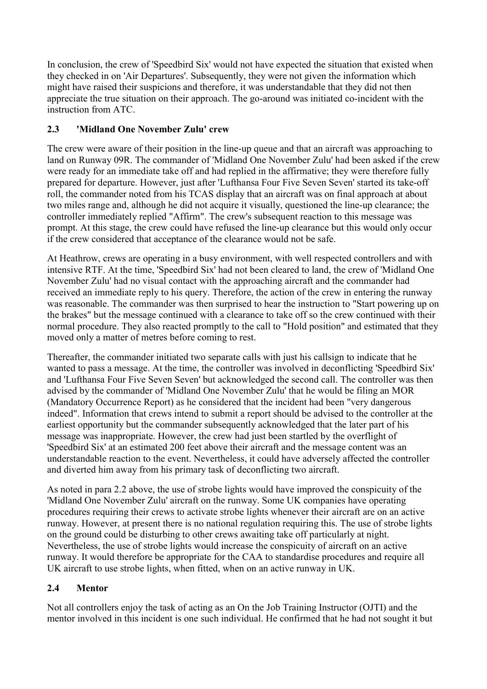<span id="page-20-0"></span>In conclusion, the crew of 'Speedbird Six' would not have expected the situation that existed when they checked in on 'Air Departures'. Subsequently, they were not given the information which might have raised their suspicions and therefore, it was understandable that they did not then appreciate the true situation on their approach. The go-around was initiated co-incident with the instruction from ATC.

# **2.3 'Midland One November Zulu' crew**

The crew were aware of their position in the line-up queue and that an aircraft was approaching to land on Runway 09R. The commander of 'Midland One November Zulu' had been asked if the crew were ready for an immediate take off and had replied in the affirmative; they were therefore fully prepared for departure. However, just after 'Lufthansa Four Five Seven Seven' started its take-off roll, the commander noted from his TCAS display that an aircraft was on final approach at about two miles range and, although he did not acquire it visually, questioned the line-up clearance; the controller immediately replied "Affirm". The crew's subsequent reaction to this message was prompt. At this stage, the crew could have refused the line-up clearance but this would only occur if the crew considered that acceptance of the clearance would not be safe.

At Heathrow, crews are operating in a busy environment, with well respected controllers and with intensive RTF. At the time, 'Speedbird Six' had not been cleared to land, the crew of 'Midland One November Zulu' had no visual contact with the approaching aircraft and the commander had received an immediate reply to his query. Therefore, the action of the crew in entering the runway was reasonable. The commander was then surprised to hear the instruction to "Start powering up on the brakes" but the message continued with a clearance to take off so the crew continued with their normal procedure. They also reacted promptly to the call to "Hold position" and estimated that they moved only a matter of metres before coming to rest.

Thereafter, the commander initiated two separate calls with just his callsign to indicate that he wanted to pass a message. At the time, the controller was involved in deconflicting 'Speedbird Six' and 'Lufthansa Four Five Seven Seven' but acknowledged the second call. The controller was then advised by the commander of 'Midland One November Zulu' that he would be filing an MOR (Mandatory Occurrence Report) as he considered that the incident had been "very dangerous indeed". Information that crews intend to submit a report should be advised to the controller at the earliest opportunity but the commander subsequently acknowledged that the later part of his message was inappropriate. However, the crew had just been startled by the overflight of 'Speedbird Six' at an estimated 200 feet above their aircraft and the message content was an understandable reaction to the event. Nevertheless, it could have adversely affected the controller and diverted him away from his primary task of deconflicting two aircraft.

As noted in para 2.2 above, the use of strobe lights would have improved the conspicuity of the 'Midland One November Zulu' aircraft on the runway. Some UK companies have operating procedures requiring their crews to activate strobe lights whenever their aircraft are on an active runway. However, at present there is no national regulation requiring this. The use of strobe lights on the ground could be disturbing to other crews awaiting take off particularly at night. Nevertheless, the use of strobe lights would increase the conspicuity of aircraft on an active runway. It would therefore be appropriate for the CAA to standardise procedures and require all UK aircraft to use strobe lights, when fitted, when on an active runway in UK.

# **2.4 Mentor**

Not all controllers enjoy the task of acting as an On the Job Training Instructor (OJTI) and the mentor involved in this incident is one such individual. He confirmed that he had not sought it but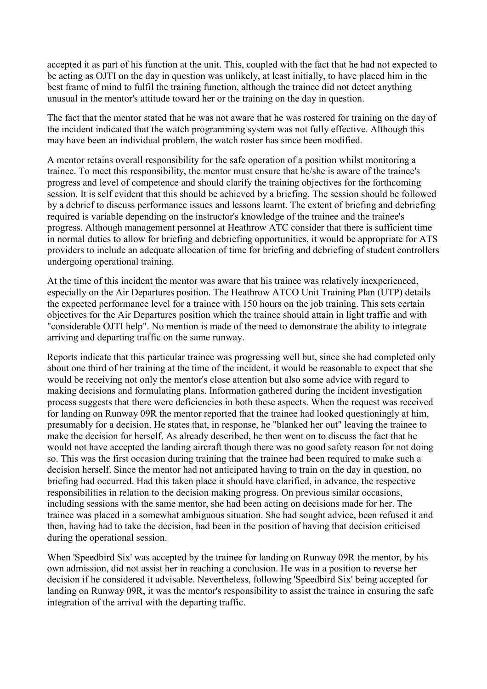accepted it as part of his function at the unit. This, coupled with the fact that he had not expected to be acting as OJTI on the day in question was unlikely, at least initially, to have placed him in the best frame of mind to fulfil the training function, although the trainee did not detect anything unusual in the mentor's attitude toward her or the training on the day in question.

The fact that the mentor stated that he was not aware that he was rostered for training on the day of the incident indicated that the watch programming system was not fully effective. Although this may have been an individual problem, the watch roster has since been modified.

A mentor retains overall responsibility for the safe operation of a position whilst monitoring a trainee. To meet this responsibility, the mentor must ensure that he/she is aware of the trainee's progress and level of competence and should clarify the training objectives for the forthcoming session. It is self evident that this should be achieved by a briefing. The session should be followed by a debrief to discuss performance issues and lessons learnt. The extent of briefing and debriefing required is variable depending on the instructor's knowledge of the trainee and the trainee's progress. Although management personnel at Heathrow ATC consider that there is sufficient time in normal duties to allow for briefing and debriefing opportunities, it would be appropriate for ATS providers to include an adequate allocation of time for briefing and debriefing of student controllers undergoing operational training.

At the time of this incident the mentor was aware that his trainee was relatively inexperienced, especially on the Air Departures position. The Heathrow ATCO Unit Training Plan (UTP) details the expected performance level for a trainee with 150 hours on the job training. This sets certain objectives for the Air Departures position which the trainee should attain in light traffic and with "considerable OJTI help". No mention is made of the need to demonstrate the ability to integrate arriving and departing traffic on the same runway.

Reports indicate that this particular trainee was progressing well but, since she had completed only about one third of her training at the time of the incident, it would be reasonable to expect that she would be receiving not only the mentor's close attention but also some advice with regard to making decisions and formulating plans. Information gathered during the incident investigation process suggests that there were deficiencies in both these aspects. When the request was received for landing on Runway 09R the mentor reported that the trainee had looked questioningly at him, presumably for a decision. He states that, in response, he "blanked her out" leaving the trainee to make the decision for herself. As already described, he then went on to discuss the fact that he would not have accepted the landing aircraft though there was no good safety reason for not doing so. This was the first occasion during training that the trainee had been required to make such a decision herself. Since the mentor had not anticipated having to train on the day in question, no briefing had occurred. Had this taken place it should have clarified, in advance, the respective responsibilities in relation to the decision making progress. On previous similar occasions, including sessions with the same mentor, she had been acting on decisions made for her. The trainee was placed in a somewhat ambiguous situation. She had sought advice, been refused it and then, having had to take the decision, had been in the position of having that decision criticised during the operational session.

When 'Speedbird Six' was accepted by the trainee for landing on Runway 09R the mentor, by his own admission, did not assist her in reaching a conclusion. He was in a position to reverse her decision if he considered it advisable. Nevertheless, following 'Speedbird Six' being accepted for landing on Runway 09R, it was the mentor's responsibility to assist the trainee in ensuring the safe integration of the arrival with the departing traffic.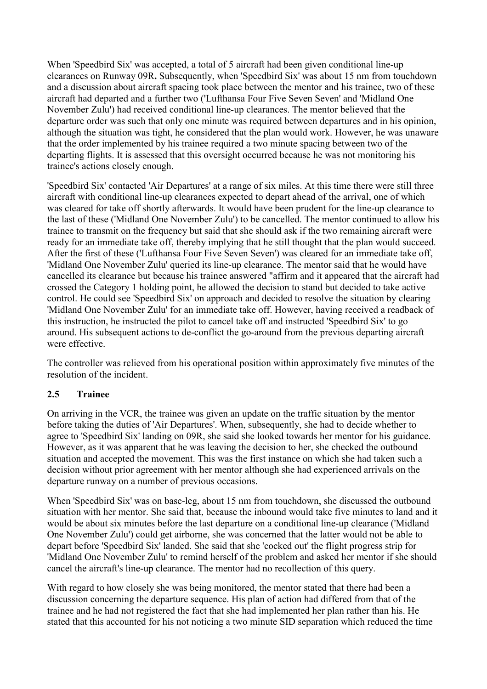<span id="page-22-0"></span>When 'Speedbird Six' was accepted, a total of 5 aircraft had been given conditional line-up clearances on Runway 09R**.** Subsequently, when 'Speedbird Six' was about 15 nm from touchdown and a discussion about aircraft spacing took place between the mentor and his trainee, two of these aircraft had departed and a further two ('Lufthansa Four Five Seven Seven' and 'Midland One November Zulu') had received conditional line-up clearances. The mentor believed that the departure order was such that only one minute was required between departures and in his opinion, although the situation was tight, he considered that the plan would work. However, he was unaware that the order implemented by his trainee required a two minute spacing between two of the departing flights. It is assessed that this oversight occurred because he was not monitoring his trainee's actions closely enough.

'Speedbird Six' contacted 'Air Departures' at a range of six miles. At this time there were still three aircraft with conditional line-up clearances expected to depart ahead of the arrival, one of which was cleared for take off shortly afterwards. It would have been prudent for the line-up clearance to the last of these ('Midland One November Zulu') to be cancelled. The mentor continued to allow his trainee to transmit on the frequency but said that she should ask if the two remaining aircraft were ready for an immediate take off, thereby implying that he still thought that the plan would succeed. After the first of these ('Lufthansa Four Five Seven Seven') was cleared for an immediate take off, 'Midland One November Zulu' queried its line-up clearance. The mentor said that he would have cancelled its clearance but because his trainee answered "affirm and it appeared that the aircraft had crossed the Category 1 holding point, he allowed the decision to stand but decided to take active control. He could see 'Speedbird Six' on approach and decided to resolve the situation by clearing 'Midland One November Zulu' for an immediate take off. However, having received a readback of this instruction, he instructed the pilot to cancel take off and instructed 'Speedbird Six' to go around. His subsequent actions to de-conflict the go-around from the previous departing aircraft were effective.

The controller was relieved from his operational position within approximately five minutes of the resolution of the incident.

## **2.5 Trainee**

On arriving in the VCR, the trainee was given an update on the traffic situation by the mentor before taking the duties of 'Air Departures'. When, subsequently, she had to decide whether to agree to 'Speedbird Six' landing on 09R, she said she looked towards her mentor for his guidance. However, as it was apparent that he was leaving the decision to her, she checked the outbound situation and accepted the movement. This was the first instance on which she had taken such a decision without prior agreement with her mentor although she had experienced arrivals on the departure runway on a number of previous occasions.

When 'Speedbird Six' was on base-leg, about 15 nm from touchdown, she discussed the outbound situation with her mentor. She said that, because the inbound would take five minutes to land and it would be about six minutes before the last departure on a conditional line-up clearance ('Midland One November Zulu') could get airborne, she was concerned that the latter would not be able to depart before 'Speedbird Six' landed. She said that she 'cocked out' the flight progress strip for 'Midland One November Zulu' to remind herself of the problem and asked her mentor if she should cancel the aircraft's line-up clearance. The mentor had no recollection of this query.

With regard to how closely she was being monitored, the mentor stated that there had been a discussion concerning the departure sequence. His plan of action had differed from that of the trainee and he had not registered the fact that she had implemented her plan rather than his. He stated that this accounted for his not noticing a two minute SID separation which reduced the time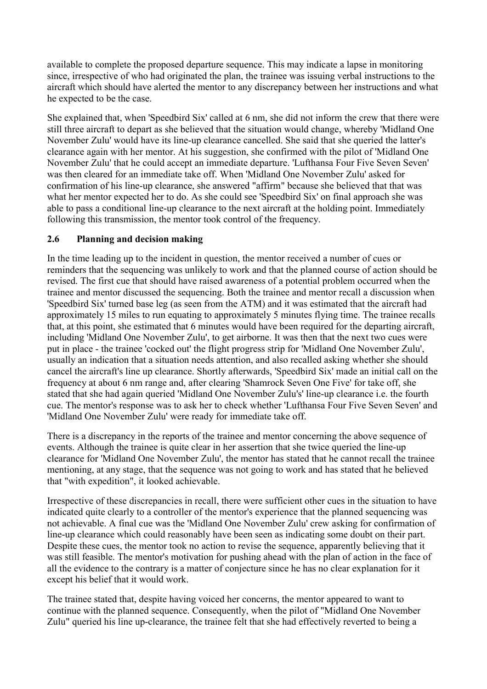<span id="page-23-0"></span>available to complete the proposed departure sequence. This may indicate a lapse in monitoring since, irrespective of who had originated the plan, the trainee was issuing verbal instructions to the aircraft which should have alerted the mentor to any discrepancy between her instructions and what he expected to be the case.

She explained that, when 'Speedbird Six' called at 6 nm, she did not inform the crew that there were still three aircraft to depart as she believed that the situation would change, whereby 'Midland One November Zulu' would have its line-up clearance cancelled. She said that she queried the latter's clearance again with her mentor. At his suggestion, she confirmed with the pilot of 'Midland One November Zulu' that he could accept an immediate departure. 'Lufthansa Four Five Seven Seven' was then cleared for an immediate take off. When 'Midland One November Zulu' asked for confirmation of his line-up clearance, she answered "affirm" because she believed that that was what her mentor expected her to do. As she could see 'Speedbird Six' on final approach she was able to pass a conditional line-up clearance to the next aircraft at the holding point. Immediately following this transmission, the mentor took control of the frequency.

## **2.6 Planning and decision making**

In the time leading up to the incident in question, the mentor received a number of cues or reminders that the sequencing was unlikely to work and that the planned course of action should be revised. The first cue that should have raised awareness of a potential problem occurred when the trainee and mentor discussed the sequencing. Both the trainee and mentor recall a discussion when 'Speedbird Six' turned base leg (as seen from the ATM) and it was estimated that the aircraft had approximately 15 miles to run equating to approximately 5 minutes flying time. The trainee recalls that, at this point, she estimated that 6 minutes would have been required for the departing aircraft, including 'Midland One November Zulu', to get airborne. It was then that the next two cues were put in place - the trainee 'cocked out' the flight progress strip for 'Midland One November Zulu', usually an indication that a situation needs attention, and also recalled asking whether she should cancel the aircraft's line up clearance. Shortly afterwards, 'Speedbird Six' made an initial call on the frequency at about 6 nm range and, after clearing 'Shamrock Seven One Five' for take off, she stated that she had again queried 'Midland One November Zulu's' line-up clearance i.e. the fourth cue. The mentor's response was to ask her to check whether 'Lufthansa Four Five Seven Seven' and 'Midland One November Zulu' were ready for immediate take off.

There is a discrepancy in the reports of the trainee and mentor concerning the above sequence of events. Although the trainee is quite clear in her assertion that she twice queried the line-up clearance for 'Midland One November Zulu', the mentor has stated that he cannot recall the trainee mentioning, at any stage, that the sequence was not going to work and has stated that he believed that "with expedition", it looked achievable.

Irrespective of these discrepancies in recall, there were sufficient other cues in the situation to have indicated quite clearly to a controller of the mentor's experience that the planned sequencing was not achievable. A final cue was the 'Midland One November Zulu' crew asking for confirmation of line-up clearance which could reasonably have been seen as indicating some doubt on their part. Despite these cues, the mentor took no action to revise the sequence, apparently believing that it was still feasible. The mentor's motivation for pushing ahead with the plan of action in the face of all the evidence to the contrary is a matter of conjecture since he has no clear explanation for it except his belief that it would work.

The trainee stated that, despite having voiced her concerns, the mentor appeared to want to continue with the planned sequence. Consequently, when the pilot of "Midland One November Zulu" queried his line up-clearance, the trainee felt that she had effectively reverted to being a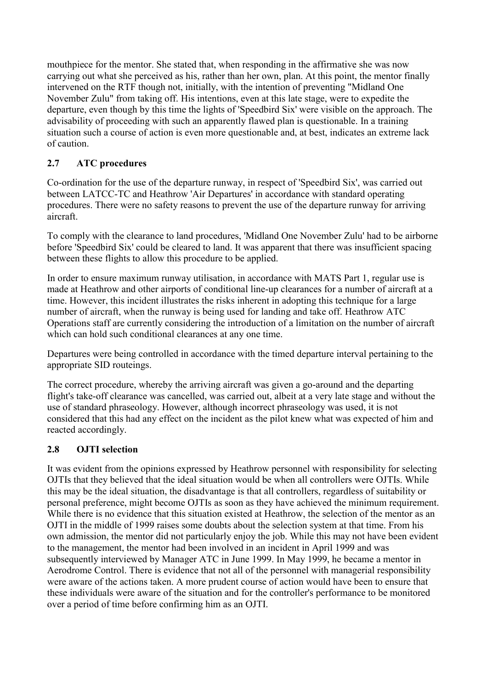<span id="page-24-0"></span>mouthpiece for the mentor. She stated that, when responding in the affirmative she was now carrying out what she perceived as his, rather than her own, plan. At this point, the mentor finally intervened on the RTF though not, initially, with the intention of preventing "Midland One November Zulu" from taking off. His intentions, even at this late stage, were to expedite the departure, even though by this time the lights of 'Speedbird Six' were visible on the approach. The advisability of proceeding with such an apparently flawed plan is questionable. In a training situation such a course of action is even more questionable and, at best, indicates an extreme lack of caution.

# **2.7 ATC procedures**

Co-ordination for the use of the departure runway, in respect of 'Speedbird Six', was carried out between LATCC-TC and Heathrow 'Air Departures' in accordance with standard operating procedures. There were no safety reasons to prevent the use of the departure runway for arriving aircraft.

To comply with the clearance to land procedures, 'Midland One November Zulu' had to be airborne before 'Speedbird Six' could be cleared to land. It was apparent that there was insufficient spacing between these flights to allow this procedure to be applied.

In order to ensure maximum runway utilisation, in accordance with MATS Part 1, regular use is made at Heathrow and other airports of conditional line-up clearances for a number of aircraft at a time. However, this incident illustrates the risks inherent in adopting this technique for a large number of aircraft, when the runway is being used for landing and take off. Heathrow ATC Operations staff are currently considering the introduction of a limitation on the number of aircraft which can hold such conditional clearances at any one time.

Departures were being controlled in accordance with the timed departure interval pertaining to the appropriate SID routeings.

The correct procedure, whereby the arriving aircraft was given a go-around and the departing flight's take-off clearance was cancelled, was carried out, albeit at a very late stage and without the use of standard phraseology. However, although incorrect phraseology was used, it is not considered that this had any effect on the incident as the pilot knew what was expected of him and reacted accordingly.

# **2.8 OJTI selection**

It was evident from the opinions expressed by Heathrow personnel with responsibility for selecting OJTIs that they believed that the ideal situation would be when all controllers were OJTIs. While this may be the ideal situation, the disadvantage is that all controllers, regardless of suitability or personal preference, might become OJTIs as soon as they have achieved the minimum requirement. While there is no evidence that this situation existed at Heathrow, the selection of the mentor as an OJTI in the middle of 1999 raises some doubts about the selection system at that time. From his own admission, the mentor did not particularly enjoy the job. While this may not have been evident to the management, the mentor had been involved in an incident in April 1999 and was subsequently interviewed by Manager ATC in June 1999. In May 1999, he became a mentor in Aerodrome Control. There is evidence that not all of the personnel with managerial responsibility were aware of the actions taken. A more prudent course of action would have been to ensure that these individuals were aware of the situation and for the controller's performance to be monitored over a period of time before confirming him as an OJTI.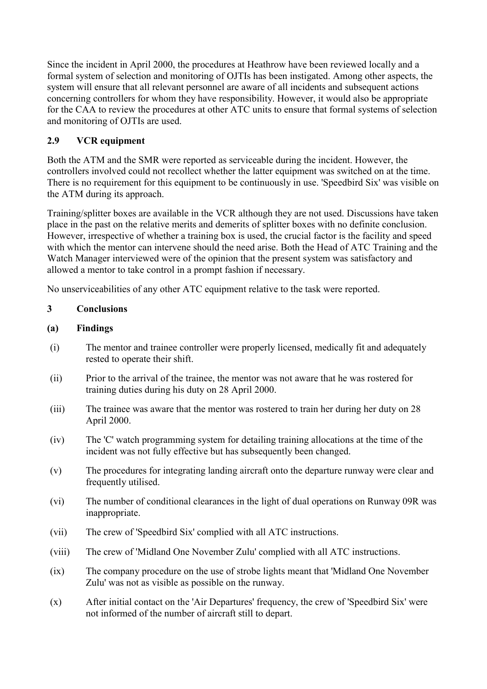<span id="page-25-0"></span>Since the incident in April 2000, the procedures at Heathrow have been reviewed locally and a formal system of selection and monitoring of OJTIs has been instigated. Among other aspects, the system will ensure that all relevant personnel are aware of all incidents and subsequent actions concerning controllers for whom they have responsibility. However, it would also be appropriate for the CAA to review the procedures at other ATC units to ensure that formal systems of selection and monitoring of OJTIs are used.

# **2.9 VCR equipment**

Both the ATM and the SMR were reported as serviceable during the incident. However, the controllers involved could not recollect whether the latter equipment was switched on at the time. There is no requirement for this equipment to be continuously in use. 'Speedbird Six' was visible on the ATM during its approach.

Training/splitter boxes are available in the VCR although they are not used. Discussions have taken place in the past on the relative merits and demerits of splitter boxes with no definite conclusion. However, irrespective of whether a training box is used, the crucial factor is the facility and speed with which the mentor can intervene should the need arise. Both the Head of ATC Training and the Watch Manager interviewed were of the opinion that the present system was satisfactory and allowed a mentor to take control in a prompt fashion if necessary.

No unserviceabilities of any other ATC equipment relative to the task were reported.

# **3 Conclusions**

# **(a) Findings**

- (i) The mentor and trainee controller were properly licensed, medically fit and adequately rested to operate their shift.
- (ii) Prior to the arrival of the trainee, the mentor was not aware that he was rostered for training duties during his duty on 28 April 2000.
- (iii) The trainee was aware that the mentor was rostered to train her during her duty on 28 April 2000.
- (iv) The 'C' watch programming system for detailing training allocations at the time of the incident was not fully effective but has subsequently been changed.
- (v) The procedures for integrating landing aircraft onto the departure runway were clear and frequently utilised.
- (vi) The number of conditional clearances in the light of dual operations on Runway 09R was inappropriate.
- (vii) The crew of 'Speedbird Six' complied with all ATC instructions.
- (viii) The crew of 'Midland One November Zulu' complied with all ATC instructions.
- (ix) The company procedure on the use of strobe lights meant that 'Midland One November Zulu' was not as visible as possible on the runway.
- (x) After initial contact on the 'Air Departures' frequency, the crew of 'Speedbird Six' were not informed of the number of aircraft still to depart.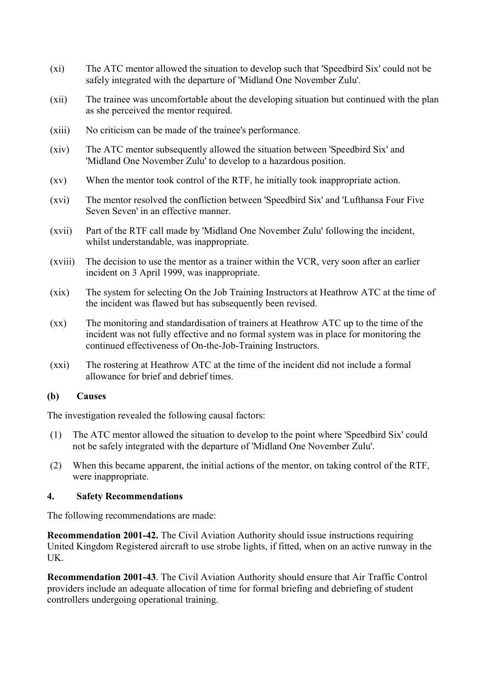- <span id="page-26-0"></span>(xi) The ATC mentor allowed the situation to develop such that 'Speedbird Six' could not be safely integrated with the departure of 'Midland One November Zulu'.
- (xii) The trainee was uncomfortable about the developing situation but continued with the plan as she perceived the mentor required.
- (xiii) No criticism can be made of the trainee's performance.
- (xiv) The ATC mentor subsequently allowed the situation between 'Speedbird Six' and 'Midland One November Zulu' to develop to a hazardous position.
- (xv) When the mentor took control of the RTF, he initially took inappropriate action.
- (xvi) The mentor resolved the confliction between 'Speedbird Six' and 'Lufthansa Four Five Seven Seven' in an effective manner.
- (xvii) Part of the RTF call made by 'Midland One November Zulu' following the incident, whilst understandable, was inappropriate.
- (xviii) The decision to use the mentor as a trainer within the VCR, very soon after an earlier incident on 3 April 1999, was inappropriate.
- (xix) The system for selecting On the Job Training Instructors at Heathrow ATC at the time of the incident was flawed but has subsequently been revised.
- (xx) The monitoring and standardisation of trainers at Heathrow ATC up to the time of the incident was not fully effective and no formal system was in place for monitoring the continued effectiveness of On-the-Job-Training Instructors.
- (xxi) The rostering at Heathrow ATC at the time of the incident did not include a formal allowance for brief and debrief times.

#### **(b) Causes**

The investigation revealed the following causal factors:

- (1) The ATC mentor allowed the situation to develop to the point where 'Speedbird Six' could not be safely integrated with the departure of 'Midland One November Zulu'.
- (2) When this became apparent, the initial actions of the mentor, on taking control of the RTF, were inappropriate.

#### **4. Safety Recommendations**

The following recommendations are made:

**Recommendation 2001-42.** The Civil Aviation Authority should issue instructions requiring United Kingdom Registered aircraft to use strobe lights, if fitted, when on an active runway in the UK.

**Recommendation 2001-43**. The Civil Aviation Authority should ensure that Air Traffic Control providers include an adequate allocation of time for formal briefing and debriefing of student controllers undergoing operational training.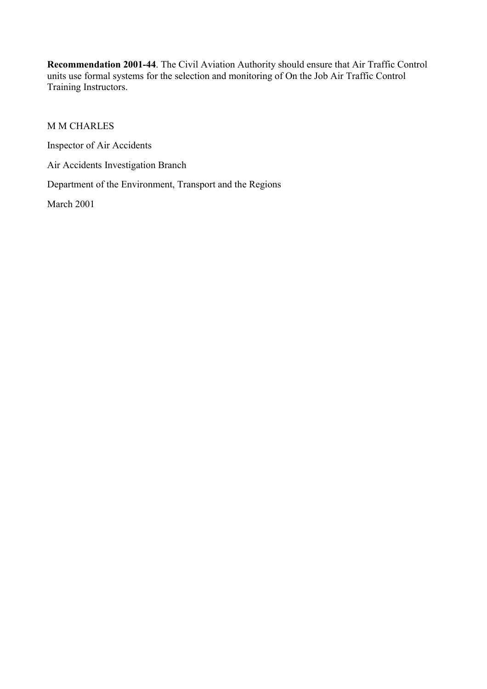**Recommendation 2001-44**. The Civil Aviation Authority should ensure that Air Traffic Control units use formal systems for the selection and monitoring of On the Job Air Traffic Control Training Instructors.

M M CHARLES

Inspector of Air Accidents

Air Accidents Investigation Branch

Department of the Environment, Transport and the Regions

March 2001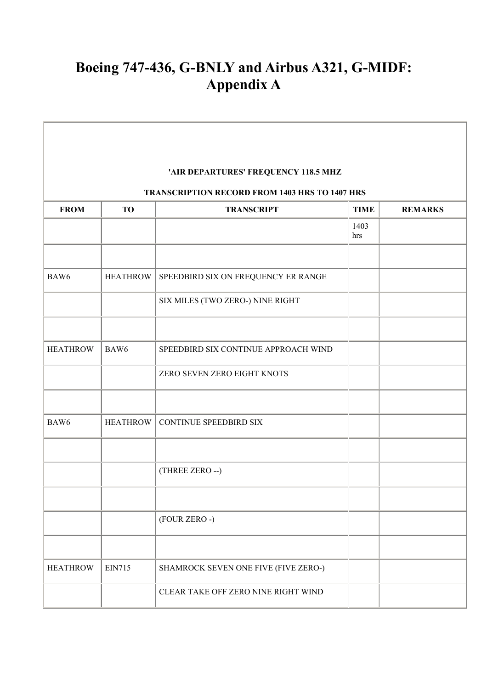# **Boeing 747-436, G-BNLY and Airbus A321, G-MIDF: Appendix A**

Ė

the control of the control of the

| 'AIR DEPARTURES' FREQUENCY 118.5 MHZ |                 |                                                       |             |                |  |  |
|--------------------------------------|-----------------|-------------------------------------------------------|-------------|----------------|--|--|
|                                      |                 | <b>TRANSCRIPTION RECORD FROM 1403 HRS TO 1407 HRS</b> |             |                |  |  |
| <b>FROM</b>                          | TO              | <b>TRANSCRIPT</b>                                     | <b>TIME</b> | <b>REMARKS</b> |  |  |
|                                      |                 |                                                       | 1403<br>hrs |                |  |  |
| BAW6                                 | <b>HEATHROW</b> | SPEEDBIRD SIX ON FREQUENCY ER RANGE                   |             |                |  |  |
|                                      |                 | SIX MILES (TWO ZERO-) NINE RIGHT                      |             |                |  |  |
|                                      |                 |                                                       |             |                |  |  |
| <b>HEATHROW</b>                      | BAW6            | SPEEDBIRD SIX CONTINUE APPROACH WIND                  |             |                |  |  |
|                                      |                 | ZERO SEVEN ZERO EIGHT KNOTS                           |             |                |  |  |
|                                      |                 |                                                       |             |                |  |  |
| BAW6                                 | <b>HEATHROW</b> | <b>CONTINUE SPEEDBIRD SIX</b>                         |             |                |  |  |
|                                      |                 |                                                       |             |                |  |  |
|                                      |                 | (THREE ZERO --)                                       |             |                |  |  |
|                                      |                 | (FOUR ZERO -)                                         |             |                |  |  |
|                                      |                 |                                                       |             |                |  |  |
|                                      |                 |                                                       |             |                |  |  |
| <b>HEATHROW</b>                      | <b>EIN715</b>   | SHAMROCK SEVEN ONE FIVE (FIVE ZERO-)                  |             |                |  |  |
|                                      |                 | CLEAR TAKE OFF ZERO NINE RIGHT WIND                   |             |                |  |  |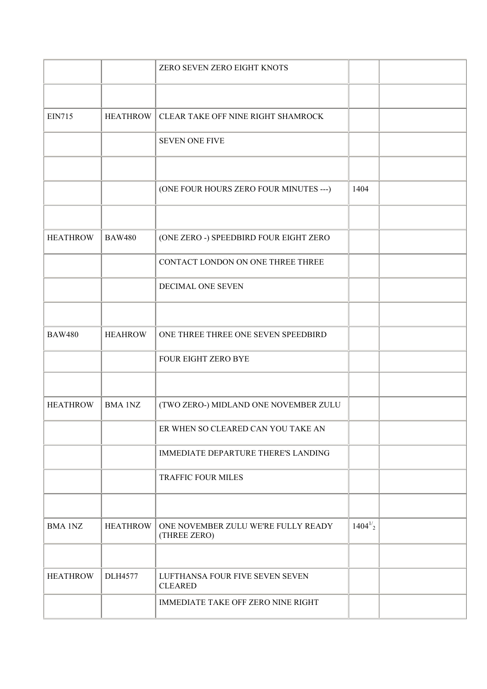|                 |                 | ZERO SEVEN ZERO EIGHT KNOTS                         |              |  |
|-----------------|-----------------|-----------------------------------------------------|--------------|--|
|                 |                 |                                                     |              |  |
| <b>EIN715</b>   | <b>HEATHROW</b> | CLEAR TAKE OFF NINE RIGHT SHAMROCK                  |              |  |
|                 |                 | <b>SEVEN ONE FIVE</b>                               |              |  |
|                 |                 |                                                     |              |  |
|                 |                 | (ONE FOUR HOURS ZERO FOUR MINUTES ---)              | 1404         |  |
|                 |                 |                                                     |              |  |
| <b>HEATHROW</b> | <b>BAW480</b>   | (ONE ZERO -) SPEEDBIRD FOUR EIGHT ZERO              |              |  |
|                 |                 | CONTACT LONDON ON ONE THREE THREE                   |              |  |
|                 |                 | DECIMAL ONE SEVEN                                   |              |  |
|                 |                 |                                                     |              |  |
| <b>BAW480</b>   | <b>HEAHROW</b>  | ONE THREE THREE ONE SEVEN SPEEDBIRD                 |              |  |
|                 |                 | FOUR EIGHT ZERO BYE                                 |              |  |
|                 |                 |                                                     |              |  |
| <b>HEATHROW</b> | <b>BMA 1NZ</b>  | (TWO ZERO-) MIDLAND ONE NOVEMBER ZULU               |              |  |
|                 |                 | ER WHEN SO CLEARED CAN YOU TAKE AN                  |              |  |
|                 |                 | <b>IMMEDIATE DEPARTURE THERE'S LANDING</b>          |              |  |
|                 |                 | <b>TRAFFIC FOUR MILES</b>                           |              |  |
|                 |                 |                                                     |              |  |
| <b>BMA 1NZ</b>  | <b>HEATHROW</b> | ONE NOVEMBER ZULU WE'RE FULLY READY<br>(THREE ZERO) | $1404^{1/2}$ |  |
|                 |                 |                                                     |              |  |
| <b>HEATHROW</b> | <b>DLH4577</b>  | LUFTHANSA FOUR FIVE SEVEN SEVEN<br><b>CLEARED</b>   |              |  |
|                 |                 | <b>IMMEDIATE TAKE OFF ZERO NINE RIGHT</b>           |              |  |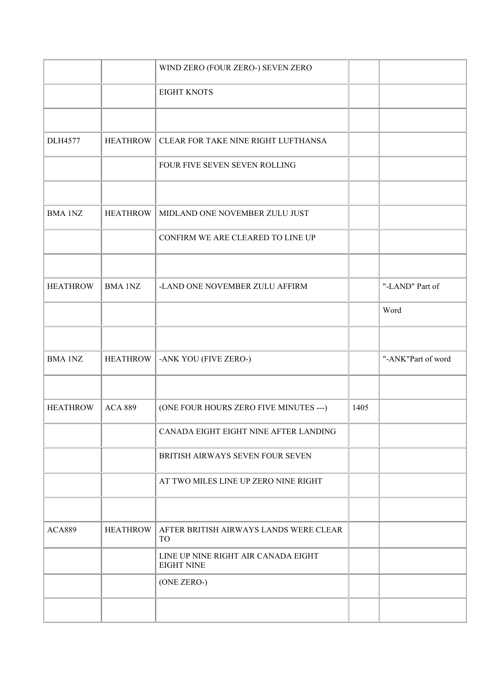|                 |                 | WIND ZERO (FOUR ZERO-) SEVEN ZERO                        |      |                    |
|-----------------|-----------------|----------------------------------------------------------|------|--------------------|
|                 |                 | <b>EIGHT KNOTS</b>                                       |      |                    |
|                 |                 |                                                          |      |                    |
| <b>DLH4577</b>  | <b>HEATHROW</b> | CLEAR FOR TAKE NINE RIGHT LUFTHANSA                      |      |                    |
|                 |                 | FOUR FIVE SEVEN SEVEN ROLLING                            |      |                    |
|                 |                 |                                                          |      |                    |
| <b>BMA 1NZ</b>  | <b>HEATHROW</b> | MIDLAND ONE NOVEMBER ZULU JUST                           |      |                    |
|                 |                 | CONFIRM WE ARE CLEARED TO LINE UP                        |      |                    |
|                 |                 |                                                          |      |                    |
| <b>HEATHROW</b> | <b>BMA 1NZ</b>  | -LAND ONE NOVEMBER ZULU AFFIRM                           |      | "-LAND" Part of    |
|                 |                 |                                                          |      | Word               |
|                 |                 |                                                          |      |                    |
| <b>BMA 1NZ</b>  | <b>HEATHROW</b> | -ANK YOU (FIVE ZERO-)                                    |      | "-ANK"Part of word |
|                 |                 |                                                          |      |                    |
| <b>HEATHROW</b> | <b>ACA 889</b>  | (ONE FOUR HOURS ZERO FIVE MINUTES ---)                   | 1405 |                    |
|                 |                 | CANADA EIGHT EIGHT NINE AFTER LANDING                    |      |                    |
|                 |                 | BRITISH AIRWAYS SEVEN FOUR SEVEN                         |      |                    |
|                 |                 | AT TWO MILES LINE UP ZERO NINE RIGHT                     |      |                    |
|                 |                 |                                                          |      |                    |
| <b>ACA889</b>   | <b>HEATHROW</b> | AFTER BRITISH AIRWAYS LANDS WERE CLEAR<br><b>TO</b>      |      |                    |
|                 |                 | LINE UP NINE RIGHT AIR CANADA EIGHT<br><b>EIGHT NINE</b> |      |                    |
|                 |                 | (ONE ZERO-)                                              |      |                    |
|                 |                 |                                                          |      |                    |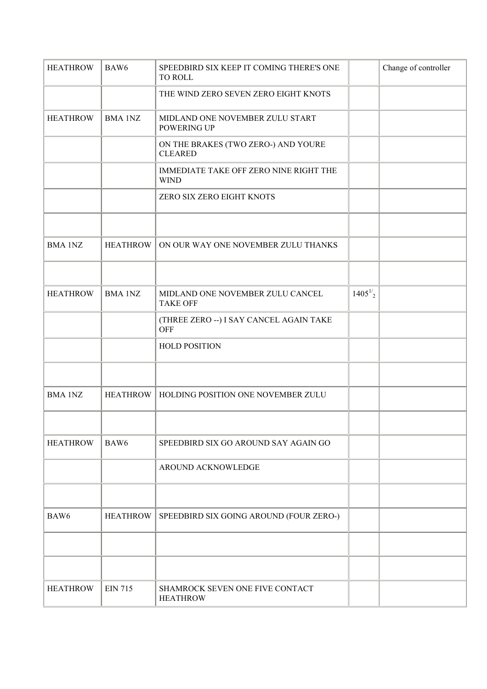| <b>HEATHROW</b>  | BAW <sub>6</sub> | SPEEDBIRD SIX KEEP IT COMING THERE'S ONE<br>TO ROLL          |              | Change of controller |
|------------------|------------------|--------------------------------------------------------------|--------------|----------------------|
|                  |                  | THE WIND ZERO SEVEN ZERO EIGHT KNOTS                         |              |                      |
| <b>HEATHROW</b>  | <b>BMA 1NZ</b>   | MIDLAND ONE NOVEMBER ZULU START<br>POWERING UP               |              |                      |
|                  |                  | ON THE BRAKES (TWO ZERO-) AND YOURE<br><b>CLEARED</b>        |              |                      |
|                  |                  | <b>IMMEDIATE TAKE OFF ZERO NINE RIGHT THE</b><br><b>WIND</b> |              |                      |
|                  |                  | ZERO SIX ZERO EIGHT KNOTS                                    |              |                      |
|                  |                  |                                                              |              |                      |
| <b>BMA 1NZ</b>   | <b>HEATHROW</b>  | ON OUR WAY ONE NOVEMBER ZULU THANKS                          |              |                      |
|                  |                  |                                                              |              |                      |
| <b>HEATHROW</b>  | <b>BMA 1NZ</b>   | MIDLAND ONE NOVEMBER ZULU CANCEL<br><b>TAKE OFF</b>          | $1405^{1/2}$ |                      |
|                  |                  | (THREE ZERO --) I SAY CANCEL AGAIN TAKE<br><b>OFF</b>        |              |                      |
|                  |                  | <b>HOLD POSITION</b>                                         |              |                      |
|                  |                  |                                                              |              |                      |
| <b>BMA 1NZ</b>   | <b>HEATHROW</b>  | HOLDING POSITION ONE NOVEMBER ZULU                           |              |                      |
|                  |                  |                                                              |              |                      |
| <b>HEATHROW</b>  | BAW <sub>6</sub> | SPEEDBIRD SIX GO AROUND SAY AGAIN GO                         |              |                      |
|                  |                  | AROUND ACKNOWLEDGE                                           |              |                      |
|                  |                  |                                                              |              |                      |
| BAW <sub>6</sub> | <b>HEATHROW</b>  | SPEEDBIRD SIX GOING AROUND (FOUR ZERO-)                      |              |                      |
|                  |                  |                                                              |              |                      |
|                  |                  |                                                              |              |                      |
| <b>HEATHROW</b>  | <b>EIN 715</b>   | SHAMROCK SEVEN ONE FIVE CONTACT<br><b>HEATHROW</b>           |              |                      |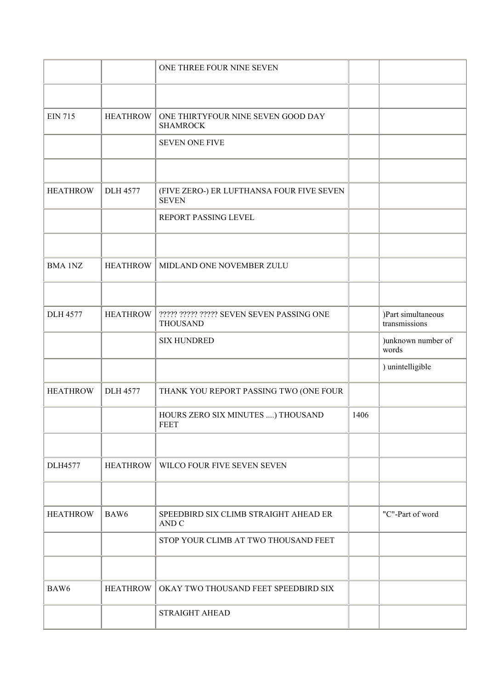|                 |                 | ONE THREE FOUR NINE SEVEN                                    |      |                                     |
|-----------------|-----------------|--------------------------------------------------------------|------|-------------------------------------|
|                 |                 |                                                              |      |                                     |
| <b>EIN 715</b>  | <b>HEATHROW</b> | ONE THIRTYFOUR NINE SEVEN GOOD DAY<br><b>SHAMROCK</b>        |      |                                     |
|                 |                 | <b>SEVEN ONE FIVE</b>                                        |      |                                     |
|                 |                 |                                                              |      |                                     |
| <b>HEATHROW</b> | <b>DLH 4577</b> | (FIVE ZERO-) ER LUFTHANSA FOUR FIVE SEVEN<br><b>SEVEN</b>    |      |                                     |
|                 |                 | REPORT PASSING LEVEL                                         |      |                                     |
|                 |                 |                                                              |      |                                     |
| <b>BMA 1NZ</b>  | <b>HEATHROW</b> | MIDLAND ONE NOVEMBER ZULU                                    |      |                                     |
|                 |                 |                                                              |      |                                     |
| <b>DLH 4577</b> | <b>HEATHROW</b> | ????? ????? ????? SEVEN SEVEN PASSING ONE<br><b>THOUSAND</b> |      | )Part simultaneous<br>transmissions |
|                 |                 | <b>SIX HUNDRED</b>                                           |      | )unknown number of<br>words         |
|                 |                 |                                                              |      | ) unintelligible                    |
| <b>HEATHROW</b> | <b>DLH 4577</b> | THANK YOU REPORT PASSING TWO (ONE FOUR                       |      |                                     |
|                 |                 | HOURS ZERO SIX MINUTES ) THOUSAND<br><b>FEET</b>             | 1406 |                                     |
|                 |                 |                                                              |      |                                     |
| <b>DLH4577</b>  | <b>HEATHROW</b> | WILCO FOUR FIVE SEVEN SEVEN                                  |      |                                     |
|                 |                 |                                                              |      |                                     |
| <b>HEATHROW</b> | BAW6            | SPEEDBIRD SIX CLIMB STRAIGHT AHEAD ER<br>AND C               |      | "C"-Part of word                    |
|                 |                 | STOP YOUR CLIMB AT TWO THOUSAND FEET                         |      |                                     |
|                 |                 |                                                              |      |                                     |
| BAW6            | <b>HEATHROW</b> | OKAY TWO THOUSAND FEET SPEEDBIRD SIX                         |      |                                     |
|                 |                 | STRAIGHT AHEAD                                               |      |                                     |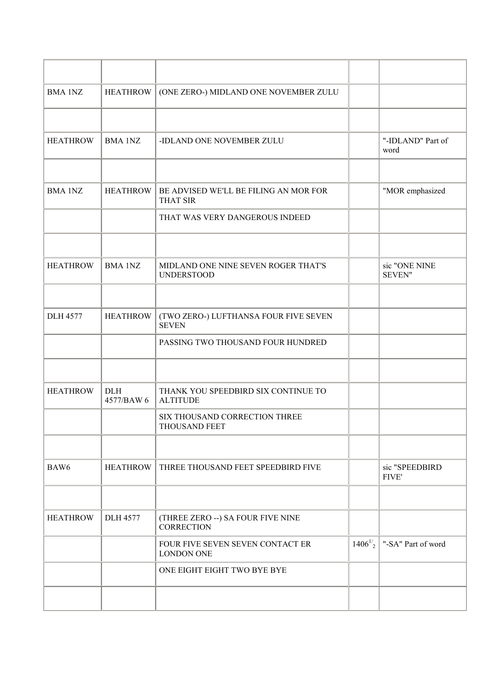| <b>BMA 1NZ</b>   | <b>HEATHROW</b>          | (ONE ZERO-) MIDLAND ONE NOVEMBER ZULU                    |              |                                |
|------------------|--------------------------|----------------------------------------------------------|--------------|--------------------------------|
|                  |                          |                                                          |              |                                |
| <b>HEATHROW</b>  | <b>BMA 1NZ</b>           | -IDLAND ONE NOVEMBER ZULU                                |              | "-IDLAND" Part of<br>word      |
|                  |                          |                                                          |              |                                |
| <b>BMA 1NZ</b>   | <b>HEATHROW</b>          | BE ADVISED WE'LL BE FILING AN MOR FOR<br><b>THAT SIR</b> |              | "MOR emphasized                |
|                  |                          | THAT WAS VERY DANGEROUS INDEED                           |              |                                |
|                  |                          |                                                          |              |                                |
| <b>HEATHROW</b>  | <b>BMA 1NZ</b>           | MIDLAND ONE NINE SEVEN ROGER THAT'S<br><b>UNDERSTOOD</b> |              | sic "ONE NINE<br><b>SEVEN"</b> |
|                  |                          |                                                          |              |                                |
| <b>DLH 4577</b>  | <b>HEATHROW</b>          | (TWO ZERO-) LUFTHANSA FOUR FIVE SEVEN<br><b>SEVEN</b>    |              |                                |
|                  |                          | PASSING TWO THOUSAND FOUR HUNDRED                        |              |                                |
|                  |                          |                                                          |              |                                |
| <b>HEATHROW</b>  | <b>DLH</b><br>4577/BAW 6 | THANK YOU SPEEDBIRD SIX CONTINUE TO<br><b>ALTITUDE</b>   |              |                                |
|                  |                          | SIX THOUSAND CORRECTION THREE<br>THOUSAND FEET           |              |                                |
|                  |                          |                                                          |              |                                |
| BAW <sub>6</sub> | <b>HEATHROW</b>          | THREE THOUSAND FEET SPEEDBIRD FIVE                       |              | sic "SPEEDBIRD<br><b>FIVE'</b> |
|                  |                          |                                                          |              |                                |
| <b>HEATHROW</b>  | <b>DLH 4577</b>          | (THREE ZERO --) SA FOUR FIVE NINE<br><b>CORRECTION</b>   |              |                                |
|                  |                          | FOUR FIVE SEVEN SEVEN CONTACT ER<br><b>LONDON ONE</b>    | $1406^{1/2}$ | "-SA" Part of word             |
|                  |                          | ONE EIGHT EIGHT TWO BYE BYE                              |              |                                |
|                  |                          |                                                          |              |                                |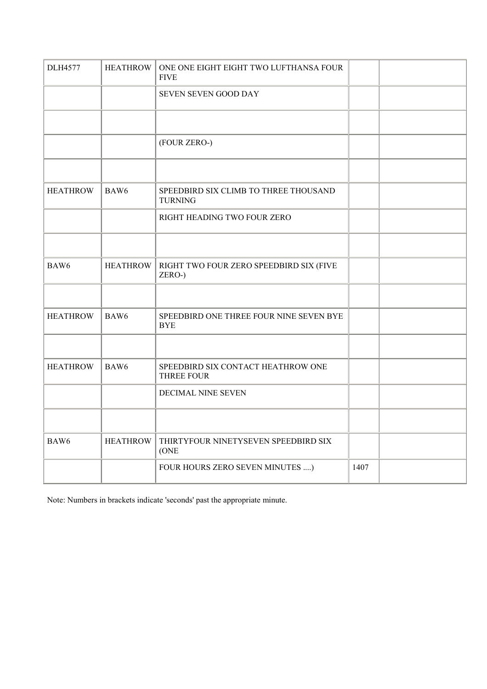| <b>DLH4577</b>  | <b>HEATHROW</b>  | ONE ONE EIGHT EIGHT TWO LUFTHANSA FOUR<br><b>FIVE</b>   |      |  |
|-----------------|------------------|---------------------------------------------------------|------|--|
|                 |                  | SEVEN SEVEN GOOD DAY                                    |      |  |
|                 |                  |                                                         |      |  |
|                 |                  | (FOUR ZERO-)                                            |      |  |
|                 |                  |                                                         |      |  |
| <b>HEATHROW</b> | BAW <sub>6</sub> | SPEEDBIRD SIX CLIMB TO THREE THOUSAND<br><b>TURNING</b> |      |  |
|                 |                  | RIGHT HEADING TWO FOUR ZERO                             |      |  |
|                 |                  |                                                         |      |  |
| BAW6            | <b>HEATHROW</b>  | RIGHT TWO FOUR ZERO SPEEDBIRD SIX (FIVE<br>ZERO-)       |      |  |
|                 |                  |                                                         |      |  |
| <b>HEATHROW</b> | BAW6             | SPEEDBIRD ONE THREE FOUR NINE SEVEN BYE<br><b>BYE</b>   |      |  |
|                 |                  |                                                         |      |  |
| <b>HEATHROW</b> | BAW6             | SPEEDBIRD SIX CONTACT HEATHROW ONE<br><b>THREE FOUR</b> |      |  |
|                 |                  | DECIMAL NINE SEVEN                                      |      |  |
|                 |                  |                                                         |      |  |
| BAW6            | <b>HEATHROW</b>  | THIRTYFOUR NINETYSEVEN SPEEDBIRD SIX<br>(ONE            |      |  |
|                 |                  | FOUR HOURS ZERO SEVEN MINUTES )                         | 1407 |  |

Note: Numbers in brackets indicate 'seconds' past the appropriate minute.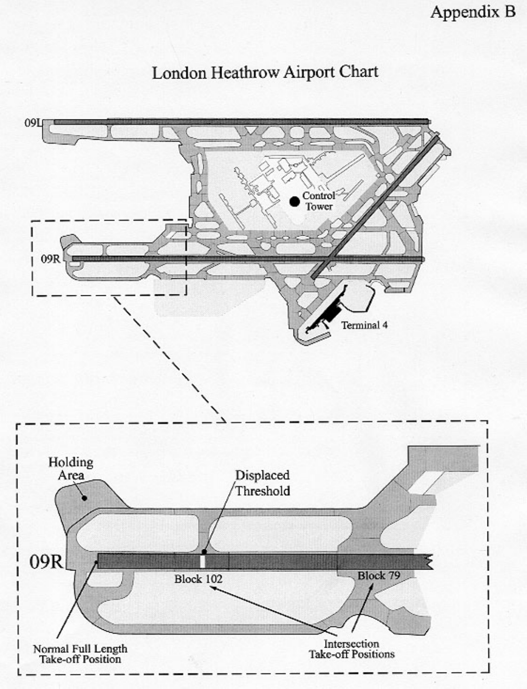Appendix B